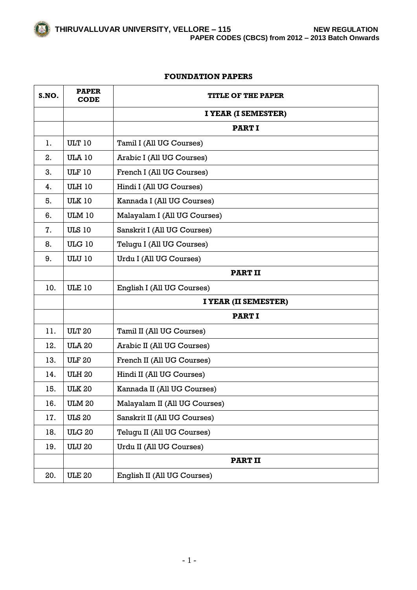#### **FOUNDATION PAPERS**

| S.NO. | <b>PAPER</b><br><b>CODE</b> | <b>TITLE OF THE PAPER</b>     |
|-------|-----------------------------|-------------------------------|
|       |                             | I YEAR (I SEMESTER)           |
|       |                             | <b>PART I</b>                 |
| 1.    | <b>ULT 10</b>               | Tamil I (All UG Courses)      |
| 2.    | <b>ULA 10</b>               | Arabic I (All UG Courses)     |
| 3.    | <b>ULF 10</b>               | French I (All UG Courses)     |
| 4.    | <b>ULH 10</b>               | Hindi I (All UG Courses)      |
| 5.    | <b>ULK 10</b>               | Kannada I (All UG Courses)    |
| 6.    | <b>ULM 10</b>               | Malayalam I (All UG Courses)  |
| 7.    | <b>ULS 10</b>               | Sanskrit I (All UG Courses)   |
| 8.    | <b>ULG 10</b>               | Telugu I (All UG Courses)     |
| 9.    | <b>ULU 10</b>               | Urdu I (All UG Courses)       |
|       |                             | <b>PART II</b>                |
| 10.   | <b>ULE 10</b>               | English I (All UG Courses)    |
|       |                             | I YEAR (II SEMESTER)          |
|       |                             | <b>PART I</b>                 |
| 11.   | <b>ULT 20</b>               | Tamil II (All UG Courses)     |
| 12.   | <b>ULA 20</b>               | Arabic II (All UG Courses)    |
| 13.   | <b>ULF 20</b>               | French II (All UG Courses)    |
| 14.   | <b>ULH 20</b>               | Hindi II (All UG Courses)     |
| 15.   | <b>ULK 20</b>               | Kannada II (All UG Courses)   |
| 16.   | <b>ULM 20</b>               | Malayalam II (All UG Courses) |
| 17.   | <b>ULS 20</b>               | Sanskrit II (All UG Courses)  |
| 18.   | <b>ULG 20</b>               | Telugu II (All UG Courses)    |
| 19.   | <b>ULU 20</b>               | Urdu II (All UG Courses)      |
|       |                             | <b>PART II</b>                |
| 20.   | <b>ULE 20</b>               | English II (All UG Courses)   |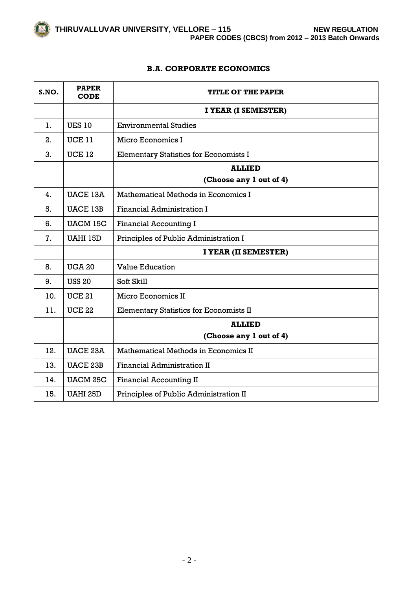# **B.A. CORPORATE ECONOMICS**

| S.NO. | <b>PAPER</b><br><b>CODE</b> | <b>TITLE OF THE PAPER</b>                      |
|-------|-----------------------------|------------------------------------------------|
|       |                             | I YEAR (I SEMESTER)                            |
| 1.    | <b>UES 10</b>               | <b>Environmental Studies</b>                   |
| 2.    | <b>UCE 11</b>               | Micro Economics I                              |
| 3.    | <b>UCE 12</b>               | <b>Elementary Statistics for Economists I</b>  |
|       |                             | <b>ALLIED</b>                                  |
|       |                             | (Choose any 1 out of 4)                        |
| 4.    | <b>UACE 13A</b>             | Mathematical Methods in Economics I            |
| 5.    | <b>UACE 13B</b>             | <b>Financial Administration I</b>              |
| 6.    | <b>UACM 15C</b>             | <b>Financial Accounting I</b>                  |
| 7.    | UAHI 15D                    | Principles of Public Administration I          |
|       |                             | I YEAR (II SEMESTER)                           |
| 8.    | <b>UGA 20</b>               | <b>Value Education</b>                         |
| 9.    | <b>USS 20</b>               | Soft Skill                                     |
| 10.   | <b>UCE 21</b>               | Micro Economics II                             |
| 11.   | <b>UCE 22</b>               | <b>Elementary Statistics for Economists II</b> |
|       |                             | <b>ALLIED</b>                                  |
|       |                             | (Choose any 1 out of 4)                        |
| 12.   | <b>UACE 23A</b>             | Mathematical Methods in Economics II           |
| 13.   | <b>UACE 23B</b>             | <b>Financial Administration II</b>             |
| 14.   | <b>UACM 25C</b>             | <b>Financial Accounting II</b>                 |
| 15.   | <b>UAHI 25D</b>             | Principles of Public Administration II         |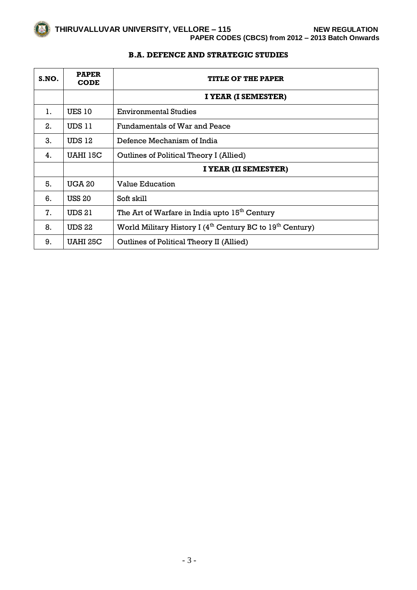| S.NO. | <b>PAPER</b><br><b>CODE</b> | <b>TITLE OF THE PAPER</b>                                                         |
|-------|-----------------------------|-----------------------------------------------------------------------------------|
|       |                             | I YEAR (I SEMESTER)                                                               |
| 1.    | <b>UES 10</b>               | <b>Environmental Studies</b>                                                      |
| 2.    | UDS 11                      | Fundamentals of War and Peace                                                     |
| 3.    | <b>UDS 12</b>               | Defence Mechanism of India                                                        |
| 4.    | UAHI 15C                    | Outlines of Political Theory I (Allied)                                           |
|       |                             | I YEAR (II SEMESTER)                                                              |
| 5.    | <b>UGA 20</b>               | <b>Value Education</b>                                                            |
| 6.    | <b>USS 20</b>               | Soft skill                                                                        |
| 7.    | <b>UDS 21</b>               | The Art of Warfare in India upto 15 <sup>th</sup> Century                         |
| 8.    | <b>UDS 22</b>               | World Military History I (4 <sup>th</sup> Century BC to 19 <sup>th</sup> Century) |
| 9.    | UAHI 25C                    | Outlines of Political Theory II (Allied)                                          |

# **B.A. DEFENCE AND STRATEGIC STUDIES**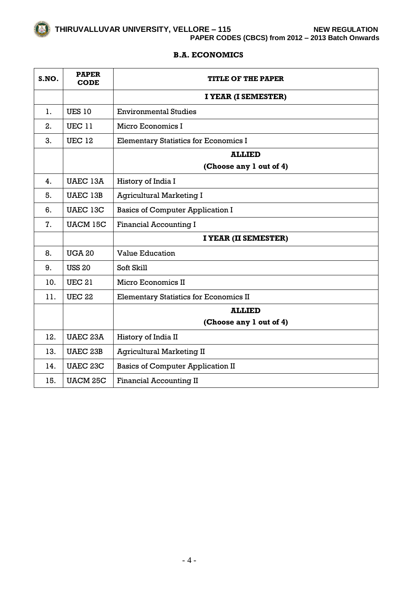# **B.A. ECONOMICS**

| S.NO. | <b>PAPER</b><br><b>CODE</b> | TITLE OF THE PAPER                            |
|-------|-----------------------------|-----------------------------------------------|
|       |                             | I YEAR (I SEMESTER)                           |
| 1.    | <b>UES 10</b>               | <b>Environmental Studies</b>                  |
| 2.    | <b>UEC 11</b>               | Micro Economics I                             |
| 3.    | <b>UEC 12</b>               | <b>Elementary Statistics for Economics I</b>  |
|       |                             | <b>ALLIED</b>                                 |
|       |                             | (Choose any 1 out of 4)                       |
| 4.    | <b>UAEC 13A</b>             | History of India I                            |
| 5.    | <b>UAEC 13B</b>             | <b>Agricultural Marketing I</b>               |
| 6.    | UAEC 13C                    | <b>Basics of Computer Application I</b>       |
| 7.    | <b>UACM 15C</b>             | <b>Financial Accounting I</b>                 |
|       |                             | I YEAR (II SEMESTER)                          |
| 8.    | <b>UGA 20</b>               | <b>Value Education</b>                        |
| 9.    | <b>USS 20</b>               | Soft Skill                                    |
| 10.   | <b>UEC 21</b>               | Micro Economics II                            |
| 11.   | <b>UEC 22</b>               | <b>Elementary Statistics for Economics II</b> |
|       |                             | <b>ALLIED</b>                                 |
|       |                             | (Choose any 1 out of 4)                       |
| 12.   | <b>UAEC 23A</b>             | History of India II                           |
| 13.   | <b>UAEC 23B</b>             | <b>Agricultural Marketing II</b>              |
| 14.   | <b>UAEC 23C</b>             | <b>Basics of Computer Application II</b>      |
| 15.   | <b>UACM 25C</b>             | <b>Financial Accounting II</b>                |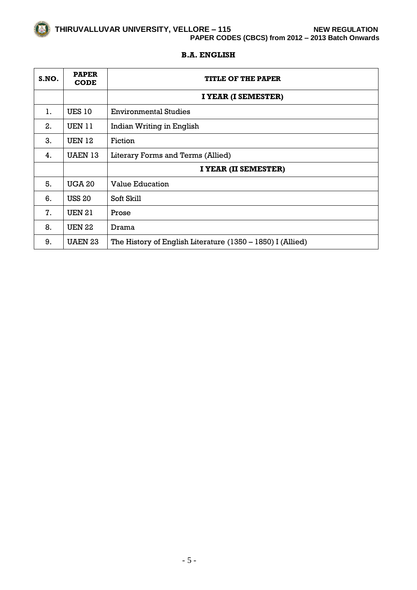

# **B.A. ENGLISH**

| S.NO. | <b>PAPER</b><br><b>CODE</b> | <b>TITLE OF THE PAPER</b>                                    |
|-------|-----------------------------|--------------------------------------------------------------|
|       |                             | I YEAR (I SEMESTER)                                          |
| 1.    | <b>UES 10</b>               | <b>Environmental Studies</b>                                 |
| 2.    | <b>UEN 11</b>               | Indian Writing in English                                    |
| 3.    | <b>UEN 12</b>               | Fiction                                                      |
| 4.    | <b>UAEN 13</b>              | Literary Forms and Terms (Allied)                            |
|       |                             | I YEAR (II SEMESTER)                                         |
| 5.    | <b>UGA 20</b>               | <b>Value Education</b>                                       |
| 6.    | <b>USS 20</b>               | Soft Skill                                                   |
| 7.    | <b>UEN 21</b>               | Prose                                                        |
| 8.    | <b>UEN 22</b>               | Drama                                                        |
| 9.    | <b>UAEN 23</b>              | The History of English Literature $(1350 - 1850)$ I (Allied) |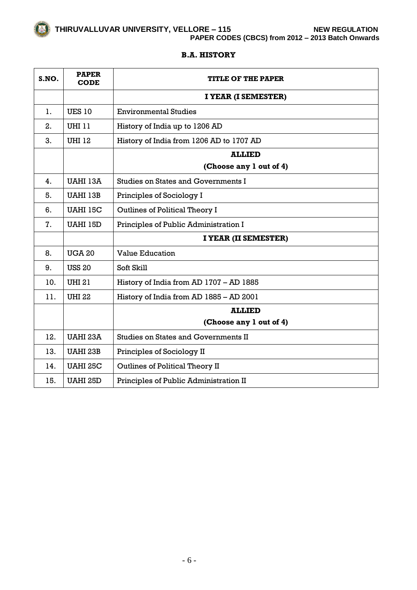# **PAPER CODES (CBCS) from 2012 – 2013 Batch Onwards**

## **B.A. HISTORY**

| S.NO. | <b>PAPER</b><br><b>CODE</b> | <b>TITLE OF THE PAPER</b>                   |
|-------|-----------------------------|---------------------------------------------|
|       |                             | I YEAR (I SEMESTER)                         |
| 1.    | <b>UES 10</b>               | <b>Environmental Studies</b>                |
| 2.    | UHI 11                      | History of India up to 1206 AD              |
| 3.    | <b>UHI 12</b>               | History of India from 1206 AD to 1707 AD    |
|       |                             | <b>ALLIED</b>                               |
|       |                             | (Choose any 1 out of 4)                     |
| 4.    | UAHI 13A                    | <b>Studies on States and Governments I</b>  |
| 5.    | UAHI 13B                    | Principles of Sociology I                   |
| 6.    | <b>UAHI 15C</b>             | Outlines of Political Theory I              |
| 7.    | UAHI 15D                    | Principles of Public Administration I       |
|       |                             | I YEAR (II SEMESTER)                        |
| 8.    | <b>UGA 20</b>               | <b>Value Education</b>                      |
| 9.    | <b>USS 20</b>               | Soft Skill                                  |
| 10.   | <b>UHI 21</b>               | History of India from AD 1707 - AD 1885     |
| 11.   | <b>UHI 22</b>               | History of India from AD 1885 - AD 2001     |
|       |                             | <b>ALLIED</b>                               |
|       |                             | (Choose any 1 out of 4)                     |
| 12.   | <b>UAHI 23A</b>             | <b>Studies on States and Governments II</b> |
| 13.   | <b>UAHI 23B</b>             | Principles of Sociology II                  |
| 14.   | <b>UAHI 25C</b>             | Outlines of Political Theory II             |
| 15.   | <b>UAHI 25D</b>             | Principles of Public Administration II      |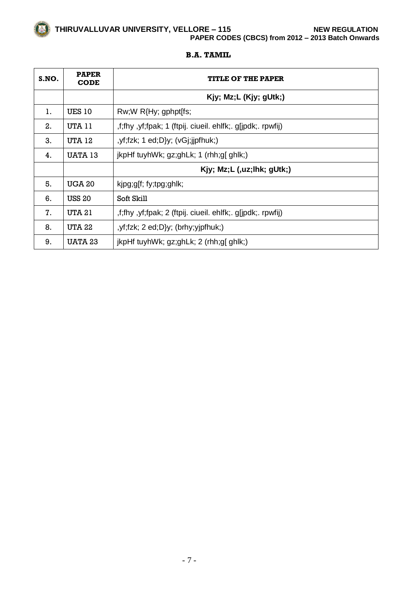# **THIRUVALLUVAR UNIVERSITY, VELLORE – 115 NEW REGULATION PAPER CODES (CBCS) from 2012 – 2013 Batch Onwards**

#### **B.A. TAMIL**

| S.NO. | <b>PAPER</b><br><b>CODE</b> | <b>TITLE OF THE PAPER</b>                                   |
|-------|-----------------------------|-------------------------------------------------------------|
|       |                             | Kjy; Mz;L (Kjy; gUtk;)                                      |
| 1.    | <b>UES 10</b>               | Rw;W R{Hy; gphpt[fs;                                        |
| 2.    | UTA 11                      | ,f;fhy ,yf;fpak; 1 (ftpij. ciueil. ehlfk;. g[jpdk;. rpwfij) |
| 3.    | <b>UTA 12</b>               | y(f; fzk; 1 ed; D)y; (vG; jjpfhuk; 1.                       |
| 4.    | UATA 13                     | jkpHf tuyhWk; gz;ghLk; 1 (rhh;g[ ghlk;)                     |
|       |                             | Kjy; Mz;L (,uz;lhk; gUtk;)                                  |
| 5.    | <b>UGA 20</b>               | kjpg;g[f; fy;tpg;ghlk;                                      |
| 6.    | <b>USS 20</b>               | Soft Skill                                                  |
| 7.    | <b>UTA 21</b>               | ,f;fhy, yf;fpak; 2 (ftpij. ciueil. ehlfk;. g[jpdk;. rpwfij) |
| 8.    | UTA 22                      | $yf; fzk; 2 ed; D\}y; (brh y; yjpfhuk; 1)$                  |
| 9.    | <b>UATA 23</b>              | jkpHf tuyhWk; $gz$ ;ghLk; $2$ (rhh;g[ ghlk;)                |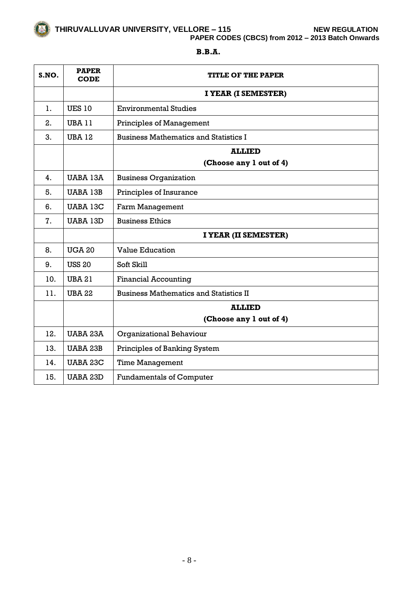**PAPER CODES (CBCS) from 2012 – 2013 Batch Onwards**

| S.NO. | <b>PAPER</b><br><b>CODE</b> | <b>TITLE OF THE PAPER</b>                     |
|-------|-----------------------------|-----------------------------------------------|
|       |                             | I YEAR (I SEMESTER)                           |
| 1.    | <b>UES 10</b>               | <b>Environmental Studies</b>                  |
| 2.    | <b>UBA 11</b>               | <b>Principles of Management</b>               |
| 3.    | <b>UBA 12</b>               | <b>Business Mathematics and Statistics I</b>  |
|       |                             | <b>ALLIED</b>                                 |
|       |                             | (Choose any 1 out of 4)                       |
| 4.    | UABA 13A                    | <b>Business Organization</b>                  |
| 5.    | <b>UABA 13B</b>             | Principles of Insurance                       |
| 6.    | <b>UABA 13C</b>             | Farm Management                               |
| 7.    | <b>UABA 13D</b>             | <b>Business Ethics</b>                        |
|       |                             | I YEAR (II SEMESTER)                          |
| 8.    | <b>UGA 20</b>               | <b>Value Education</b>                        |
| 9.    | <b>USS 20</b>               | Soft Skill                                    |
| 10.   | <b>UBA 21</b>               | <b>Financial Accounting</b>                   |
| 11.   | <b>UBA 22</b>               | <b>Business Mathematics and Statistics II</b> |
|       |                             | <b>ALLIED</b>                                 |
|       |                             | (Choose any 1 out of 4)                       |
| 12.   | UABA 23A                    | <b>Organizational Behaviour</b>               |
| 13.   | <b>UABA 23B</b>             | Principles of Banking System                  |
| 14.   | <b>UABA 23C</b>             | <b>Time Management</b>                        |
| 15.   | <b>UABA 23D</b>             | <b>Fundamentals of Computer</b>               |

# **B.B.A.**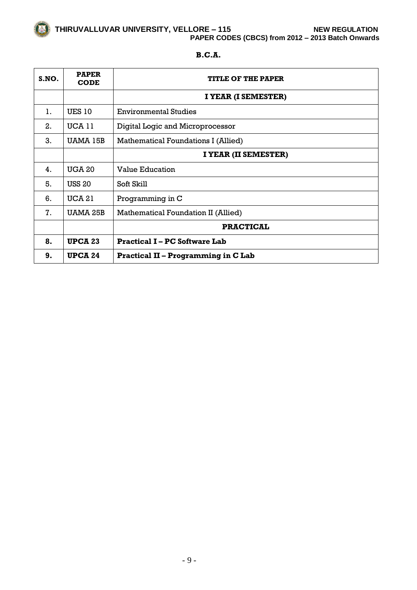**THIRUVALLUVAR UNIVERSITY, VELLORE – 115 NEW REGULATION PAPER CODES (CBCS) from 2012 – 2013 Batch Onwards**

| S.NO. | <b>PAPER</b><br><b>CODE</b> | <b>TITLE OF THE PAPER</b>                  |
|-------|-----------------------------|--------------------------------------------|
|       |                             | I YEAR (I SEMESTER)                        |
| 1.    | <b>UES 10</b>               | <b>Environmental Studies</b>               |
| 2.    | <b>UCA 11</b>               | Digital Logic and Microprocessor           |
| 3.    | UAMA 15B                    | Mathematical Foundations I (Allied)        |
|       |                             | I YEAR (II SEMESTER)                       |
| 4.    | <b>UGA 20</b>               | <b>Value Education</b>                     |
| 5.    | <b>USS 20</b>               | Soft Skill                                 |
| 6.    | <b>UCA 21</b>               | Programming in C                           |
| 7.    | UAMA 25B                    | Mathematical Foundation II (Allied)        |
|       |                             | <b>PRACTICAL</b>                           |
| 8.    | <b>UPCA 23</b>              | <b>Practical I-PC Software Lab</b>         |
| 9.    | <b>UPCA 24</b>              | <b>Practical II – Programming in C Lab</b> |

# **B.C.A.**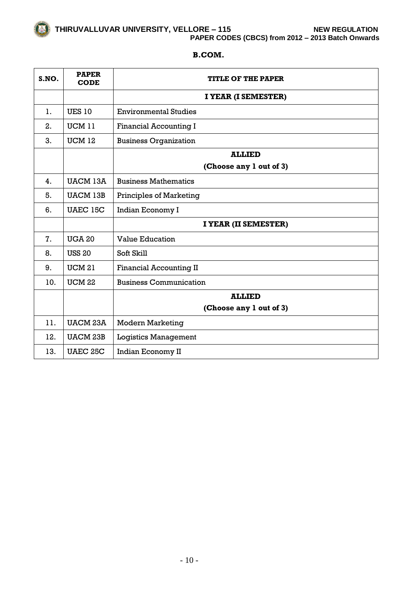**THIRUVALLUVAR UNIVERSITY, VELLORE – 115 NEW REGULATION PAPER CODES (CBCS) from 2012 – 2013 Batch Onwards**

# **B.COM.**

| S.NO. | <b>PAPER</b><br><b>CODE</b> | <b>TITLE OF THE PAPER</b>      |
|-------|-----------------------------|--------------------------------|
|       |                             | I YEAR (I SEMESTER)            |
| 1.    | <b>UES 10</b>               | <b>Environmental Studies</b>   |
| 2.    | UCM 11                      | <b>Financial Accounting I</b>  |
| 3.    | <b>UCM 12</b>               | <b>Business Organization</b>   |
|       |                             | <b>ALLIED</b>                  |
|       |                             | (Choose any 1 out of 3)        |
| 4.    | <b>UACM 13A</b>             | <b>Business Mathematics</b>    |
| 5.    | <b>UACM 13B</b>             | <b>Principles of Marketing</b> |
| 6.    | UAEC 15C                    | Indian Economy I               |
|       |                             | I YEAR (II SEMESTER)           |
| 7.    | <b>UGA 20</b>               | <b>Value Education</b>         |
| 8.    | <b>USS 20</b>               | Soft Skill                     |
| 9.    | <b>UCM 21</b>               | <b>Financial Accounting II</b> |
| 10.   | <b>UCM 22</b>               | <b>Business Communication</b>  |
|       |                             | <b>ALLIED</b>                  |
|       |                             | (Choose any 1 out of 3)        |
| 11.   | <b>UACM 23A</b>             | <b>Modern Marketing</b>        |
| 12.   | <b>UACM 23B</b>             | <b>Logistics Management</b>    |
| 13.   | <b>UAEC 25C</b>             | Indian Economy II              |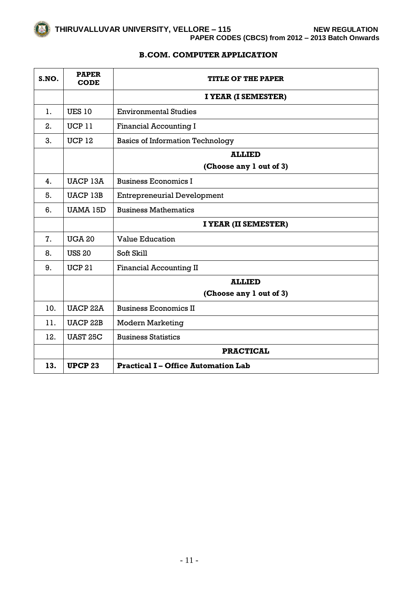# **B.COM. COMPUTER APPLICATION**

| S.NO. | <b>PAPER</b><br><b>CODE</b> | <b>TITLE OF THE PAPER</b>                  |
|-------|-----------------------------|--------------------------------------------|
|       |                             | I YEAR (I SEMESTER)                        |
| 1.    | <b>UES 10</b>               | <b>Environmental Studies</b>               |
| 2.    | UCP11                       | <b>Financial Accounting I</b>              |
| 3.    | <b>UCP 12</b>               | <b>Basics of Information Technology</b>    |
|       |                             | <b>ALLIED</b>                              |
|       |                             | (Choose any 1 out of 3)                    |
| 4.    | UACP 13A                    | <b>Business Economics I</b>                |
| 5.    | <b>UACP 13B</b>             | <b>Entrepreneurial Development</b>         |
| 6.    | <b>UAMA 15D</b>             | <b>Business Mathematics</b>                |
|       |                             | I YEAR (II SEMESTER)                       |
| 7.    | <b>UGA 20</b>               | <b>Value Education</b>                     |
| 8.    | <b>USS 20</b>               | Soft Skill                                 |
| 9.    | <b>UCP 21</b>               | <b>Financial Accounting II</b>             |
|       |                             | <b>ALLIED</b>                              |
|       |                             | (Choose any 1 out of 3)                    |
| 10.   | <b>UACP 22A</b>             | <b>Business Economics II</b>               |
| 11.   | <b>UACP 22B</b>             | <b>Modern Marketing</b>                    |
| 12.   | <b>UAST 25C</b>             | <b>Business Statistics</b>                 |
|       |                             | <b>PRACTICAL</b>                           |
| 13.   | <b>UPCP 23</b>              | <b>Practical I – Office Automation Lab</b> |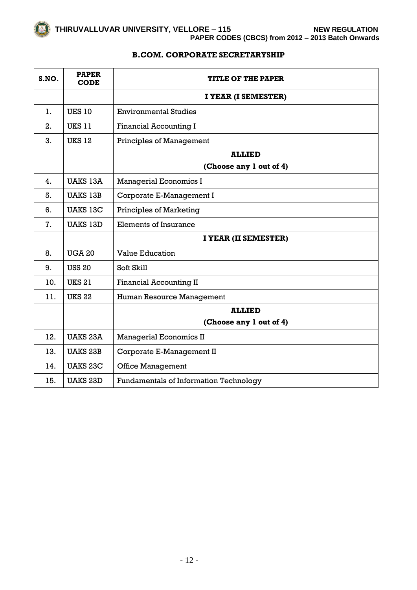# **B.COM. CORPORATE SECRETARYSHIP**

| S.NO. | <b>PAPER</b><br><b>CODE</b> | <b>TITLE OF THE PAPER</b>                     |
|-------|-----------------------------|-----------------------------------------------|
|       |                             | I YEAR (I SEMESTER)                           |
| 1.    | <b>UES 10</b>               | <b>Environmental Studies</b>                  |
| 2.    | <b>UKS 11</b>               | <b>Financial Accounting I</b>                 |
| 3.    | <b>UKS 12</b>               | <b>Principles of Management</b>               |
|       |                             | <b>ALLIED</b>                                 |
|       |                             | (Choose any 1 out of 4)                       |
| 4.    | <b>UAKS 13A</b>             | <b>Managerial Economics I</b>                 |
| 5.    | <b>UAKS 13B</b>             | Corporate E-Management I                      |
| 6.    | <b>UAKS 13C</b>             | Principles of Marketing                       |
| 7.    | <b>UAKS 13D</b>             | Elements of Insurance                         |
|       |                             | I YEAR (II SEMESTER)                          |
| 8.    | <b>UGA 20</b>               | <b>Value Education</b>                        |
| 9.    | <b>USS 20</b>               | Soft Skill                                    |
| 10.   | <b>UKS 21</b>               | <b>Financial Accounting II</b>                |
| 11.   | <b>UKS 22</b>               | Human Resource Management                     |
|       |                             | <b>ALLIED</b>                                 |
|       |                             | (Choose any 1 out of 4)                       |
| 12.   | <b>UAKS 23A</b>             | <b>Managerial Economics II</b>                |
| 13.   | <b>UAKS 23B</b>             | Corporate E-Management II                     |
| 14.   | <b>UAKS 23C</b>             | <b>Office Management</b>                      |
| 15.   | <b>UAKS 23D</b>             | <b>Fundamentals of Information Technology</b> |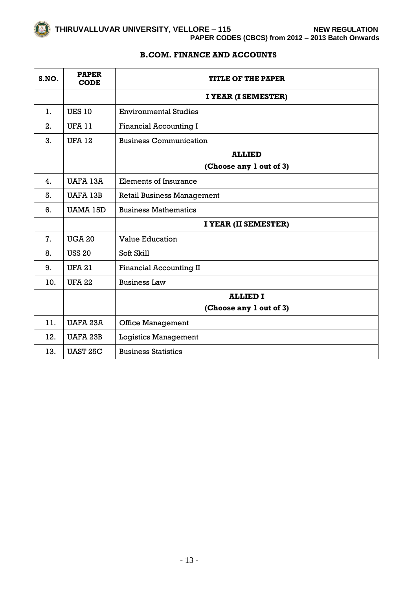# **B.COM. FINANCE AND ACCOUNTS**

| S.NO. | <b>PAPER</b><br><b>CODE</b> | <b>TITLE OF THE PAPER</b>         |
|-------|-----------------------------|-----------------------------------|
|       |                             | I YEAR (I SEMESTER)               |
| 1.    | <b>UES 10</b>               | <b>Environmental Studies</b>      |
| 2.    | <b>UFA 11</b>               | Financial Accounting I            |
| 3.    | <b>UFA 12</b>               | <b>Business Communication</b>     |
|       |                             | <b>ALLIED</b>                     |
|       |                             | (Choose any 1 out of 3)           |
| 4.    | <b>UAFA 13A</b>             | <b>Elements of Insurance</b>      |
| 5.    | <b>UAFA 13B</b>             | <b>Retail Business Management</b> |
| 6.    | UAMA 15D                    | <b>Business Mathematics</b>       |
|       |                             | I YEAR (II SEMESTER)              |
| 7.    | <b>UGA 20</b>               | <b>Value Education</b>            |
| 8.    | <b>USS 20</b>               | Soft Skill                        |
| 9.    | <b>UFA 21</b>               | <b>Financial Accounting II</b>    |
| 10.   | <b>UFA 22</b>               | <b>Business Law</b>               |
|       |                             | <b>ALLIED I</b>                   |
|       |                             | (Choose any 1 out of 3)           |
| 11.   | UAFA 23A                    | <b>Office Management</b>          |
| 12.   | <b>UAFA 23B</b>             | <b>Logistics Management</b>       |
| 13.   | <b>UAST 25C</b>             | <b>Business Statistics</b>        |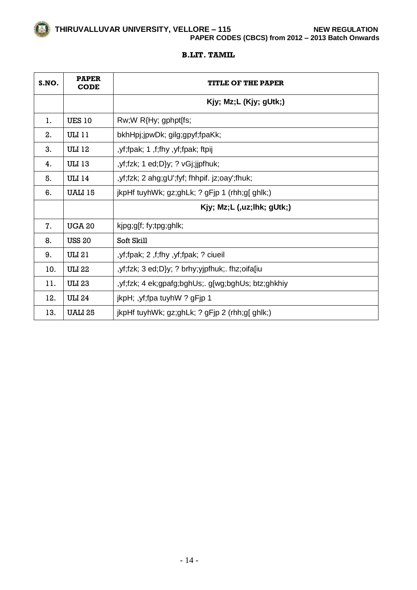**THIRUVALLUVAR UNIVERSITY, VELLORE – 115 NEW REGULATION PAPER CODES (CBCS) from 2012 – 2013 Batch Onwards**

#### **B.LIT. TAMIL**

| S.NO. | <b>PAPER</b><br><b>CODE</b> | TITLE OF THE PAPER                                     |
|-------|-----------------------------|--------------------------------------------------------|
|       |                             | Kjy; Mz;L (Kjy; gUtk;)                                 |
| 1.    | <b>UES 10</b>               | $Rw;W R{Hy; gphpt[fs;$                                 |
| 2.    | ULI 11                      | bkhHpj;jpwDk; gilg;gpyf;fpaKk;                         |
| 3.    | <b>ULI 12</b>               | yf;fpak; 1,f;fhy, yf;fpak; ftpij,                      |
| 4.    | <b>ULI 13</b>               | , yf; fzk; 1 ed; D}y; ? vGj; jjpfhuk;                  |
| 5.    | <b>ULI 14</b>               | , yf; fzk; 2 ahg; gU'; fyf; fhhpif. jz; oay'; fhuk;    |
| 6.    | UALI 15                     | jkpHf tuyhWk; gz;ghLk; ? gFjp 1 (rhh;g[ ghlk;)         |
|       |                             | Kjy; $Mz; L$ (,uz;lhk; $gUtk;$ )                       |
| 7.    | <b>UGA 20</b>               | kjpg;g[f; fy;tpg;ghlk;                                 |
| 8.    | <b>USS 20</b>               | Soft Skill                                             |
| 9.    | ULI 21                      | yf;fpak; 2, f;fhy, yf;fpak; ? ciueil                   |
| 10.   | ULI 22                      | ,yf;fzk; 3 ed;D}y; ? brhy;yjpfhuk;. fhz;oifa[iu        |
| 11.   | <b>ULI 23</b>               | , yf;fzk; 4 ek; gpafg; bghUs; g[wg; bghUs; btz; ghkhiy |
| 12.   | <b>ULI 24</b>               | jkpH; ,yf;fpa tuyhW ? gFjp 1                           |
| 13.   | <b>UALI 25</b>              | jkpHf tuyhWk; $gz$ ;ghLk; ? $gF$ jp 2 (rhh;g[ ghlk;)   |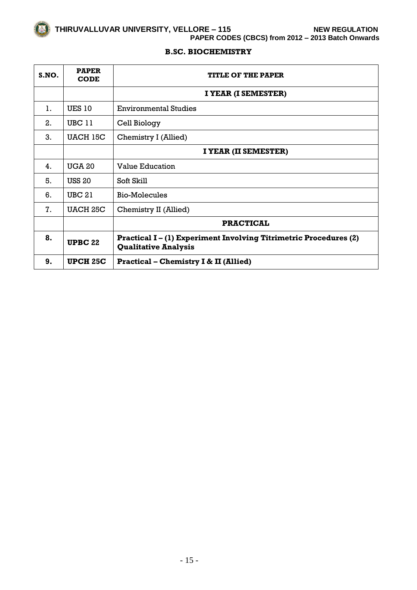**PAPER CODES (CBCS) from 2012 – 2013 Batch Onwards**

# **B.SC. BIOCHEMISTRY**

| S.NO. | <b>PAPER</b><br><b>CODE</b> | <b>TITLE OF THE PAPER</b>                                                                             |
|-------|-----------------------------|-------------------------------------------------------------------------------------------------------|
|       |                             | I YEAR (I SEMESTER)                                                                                   |
| 1.    | <b>UES 10</b>               | <b>Environmental Studies</b>                                                                          |
| 2.    | UBC 11                      | Cell Biology                                                                                          |
| 3.    | UACH 15C                    | Chemistry I (Allied)                                                                                  |
|       |                             | I YEAR (II SEMESTER)                                                                                  |
| 4.    | <b>UGA 20</b>               | <b>Value Education</b>                                                                                |
| 5.    | <b>USS 20</b>               | Soft Skill                                                                                            |
| 6.    | <b>UBC 21</b>               | Bio-Molecules                                                                                         |
| 7.    | UACH 25C                    | Chemistry II (Allied)                                                                                 |
|       |                             | <b>PRACTICAL</b>                                                                                      |
| 8.    | <b>UPBC 22</b>              | <b>Practical I-(1) Experiment Involving Titrimetric Procedures (2)</b><br><b>Qualitative Analysis</b> |
| 9.    | <b>UPCH 25C</b>             | <b>Practical – Chemistry I &amp; II (Allied)</b>                                                      |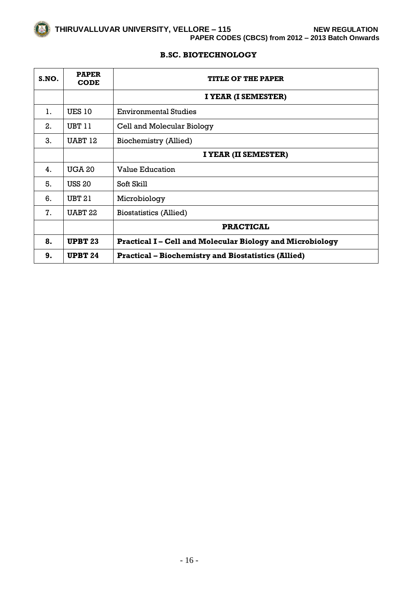# **B.SC. BIOTECHNOLOGY**

| S.NO. | <b>PAPER</b><br><b>CODE</b> | <b>TITLE OF THE PAPER</b>                                      |
|-------|-----------------------------|----------------------------------------------------------------|
|       |                             | I YEAR (I SEMESTER)                                            |
| 1.    | <b>UES 10</b>               | <b>Environmental Studies</b>                                   |
| 2.    | UBT 11                      | Cell and Molecular Biology                                     |
| 3.    | UABT 12                     | <b>Biochemistry (Allied)</b>                                   |
|       |                             | I YEAR (II SEMESTER)                                           |
| 4.    | <b>UGA 20</b>               | <b>Value Education</b>                                         |
| 5.    | <b>USS 20</b>               | Soft Skill                                                     |
| 6.    | <b>UBT 21</b>               | Microbiology                                                   |
| 7.    | UABT <sub>22</sub>          | <b>Biostatistics (Allied)</b>                                  |
|       |                             | <b>PRACTICAL</b>                                               |
| 8.    | <b>UPBT 23</b>              | <b>Practical I-Cell and Molecular Biology and Microbiology</b> |
| 9.    | <b>UPBT 24</b>              | <b>Practical – Biochemistry and Biostatistics (Allied)</b>     |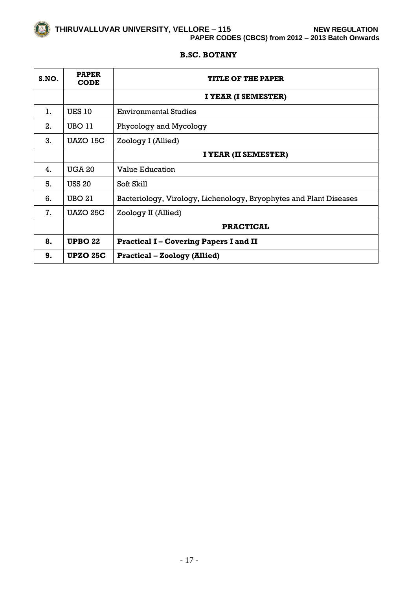#### **B.SC. BOTANY**

| S.NO. | <b>PAPER</b><br><b>CODE</b> | <b>TITLE OF THE PAPER</b>                                          |
|-------|-----------------------------|--------------------------------------------------------------------|
|       |                             | I YEAR (I SEMESTER)                                                |
| 1.    | <b>UES 10</b>               | <b>Environmental Studies</b>                                       |
| 2.    | UBO 11                      | Phycology and Mycology                                             |
| 3.    | UAZO 15C                    | Zoology I (Allied)                                                 |
|       |                             | I YEAR (II SEMESTER)                                               |
| 4.    | <b>UGA 20</b>               | <b>Value Education</b>                                             |
| 5.    | <b>USS 20</b>               | Soft Skill                                                         |
| 6.    | <b>UBO 21</b>               | Bacteriology, Virology, Lichenology, Bryophytes and Plant Diseases |
| 7.    | <b>UAZO 25C</b>             | Zoology II (Allied)                                                |
|       |                             | <b>PRACTICAL</b>                                                   |
| 8.    | UPBO 22                     | <b>Practical I-Covering Papers I and II</b>                        |
| 9.    | <b>UPZO 25C</b>             | <b>Practical – Zoology (Allied)</b>                                |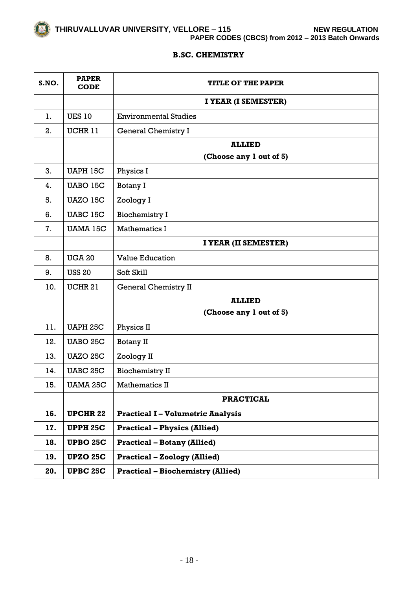**THIRUVALLUVAR UNIVERSITY, VELLORE – 115 NEW REGULATION PAPER CODES (CBCS) from 2012 – 2013 Batch Onwards**

#### **B.SC. CHEMISTRY**

| S.NO. | <b>PAPER</b><br><b>CODE</b> | <b>TITLE OF THE PAPER</b>                |
|-------|-----------------------------|------------------------------------------|
|       |                             | I YEAR (I SEMESTER)                      |
| 1.    | <b>UES 10</b>               | <b>Environmental Studies</b>             |
| 2.    | UCHR 11                     | <b>General Chemistry I</b>               |
|       |                             | <b>ALLIED</b>                            |
|       |                             | (Choose any 1 out of 5)                  |
| 3.    | <b>UAPH 15C</b>             | Physics I                                |
| 4.    | UABO 15C                    | Botany I                                 |
| 5.    | UAZO 15C                    | Zoology I                                |
| 6.    | UABC 15C                    | <b>Biochemistry I</b>                    |
| 7.    | <b>UAMA 15C</b>             | <b>Mathematics I</b>                     |
|       |                             | I YEAR (II SEMESTER)                     |
| 8.    | <b>UGA 20</b>               | <b>Value Education</b>                   |
| 9.    | <b>USS 20</b>               | Soft Skill                               |
| 10.   | <b>UCHR 21</b>              | <b>General Chemistry II</b>              |
|       |                             | <b>ALLIED</b>                            |
|       |                             | (Choose any 1 out of 5)                  |
| 11.   | <b>UAPH 25C</b>             | Physics II                               |
| 12.   | <b>UABO 25C</b>             | Botany II                                |
| 13.   | <b>UAZO 25C</b>             | Zoology II                               |
| 14.   | <b>UABC 25C</b>             | <b>Biochemistry II</b>                   |
| 15.   | <b>UAMA 25C</b>             | Mathematics II                           |
|       |                             | <b>PRACTICAL</b>                         |
| 16.   | <b>UPCHR 22</b>             | <b>Practical I - Volumetric Analysis</b> |
| 17.   | <b>UPPH 25C</b>             | <b>Practical - Physics (Allied)</b>      |
| 18.   | <b>UPBO 25C</b>             | <b>Practical - Botany (Allied)</b>       |
| 19.   | <b>UPZO 25C</b>             | <b>Practical - Zoology (Allied)</b>      |
| 20.   | <b>UPBC 25C</b>             | <b>Practical - Biochemistry (Allied)</b> |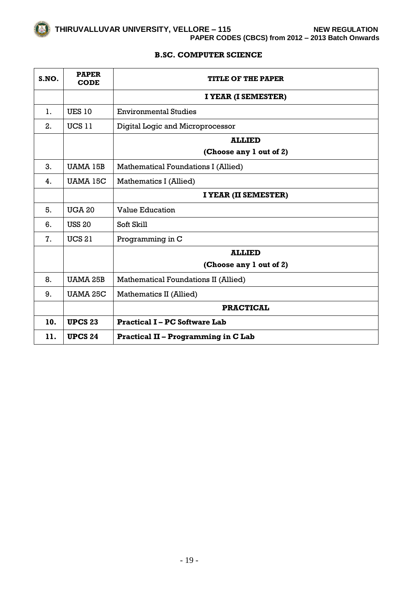

# **B.SC. COMPUTER SCIENCE**

| S.NO. | <b>PAPER</b><br><b>CODE</b> | <b>TITLE OF THE PAPER</b>                   |
|-------|-----------------------------|---------------------------------------------|
|       |                             | I YEAR (I SEMESTER)                         |
| 1.    | <b>UES 10</b>               | <b>Environmental Studies</b>                |
| 2.    | <b>UCS 11</b>               | Digital Logic and Microprocessor            |
|       |                             | <b>ALLIED</b>                               |
|       |                             | (Choose any 1 out of 2)                     |
| 3.    | UAMA 15B                    | <b>Mathematical Foundations I (Allied)</b>  |
| 4.    | UAMA 15C                    | Mathematics I (Allied)                      |
|       |                             | I YEAR (II SEMESTER)                        |
| 5.    | <b>UGA 20</b>               | <b>Value Education</b>                      |
| 6.    | <b>USS 20</b>               | Soft Skill                                  |
| 7.    | <b>UCS 21</b>               | Programming in C                            |
|       |                             | <b>ALLIED</b>                               |
|       |                             | (Choose any 1 out of 2)                     |
| 8.    | <b>UAMA 25B</b>             | <b>Mathematical Foundations II (Allied)</b> |
| 9.    | <b>UAMA 25C</b>             | Mathematics II (Allied)                     |
|       |                             | <b>PRACTICAL</b>                            |
| 10.   | <b>UPCS 23</b>              | <b>Practical I – PC Software Lab</b>        |
| 11.   | <b>UPCS 24</b>              | <b>Practical II - Programming in C Lab</b>  |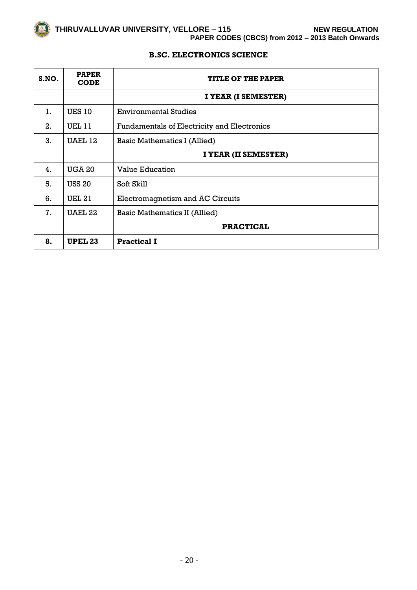**THIRUVALLUVAR UNIVERSITY, VELLORE – 115 NEW REGULATION PAPER CODES (CBCS) from 2012 – 2013 Batch Onwards**

# **B.SC. ELECTRONICS SCIENCE**

| S.NO. | <b>PAPER</b><br><b>CODE</b> | <b>TITLE OF THE PAPER</b>                   |
|-------|-----------------------------|---------------------------------------------|
|       |                             | I YEAR (I SEMESTER)                         |
| 1.    | <b>UES 10</b>               | <b>Environmental Studies</b>                |
| 2.    | <b>UEL 11</b>               | Fundamentals of Electricity and Electronics |
| 3.    | UAEL 12                     | Basic Mathematics I (Allied)                |
|       |                             | I YEAR (II SEMESTER)                        |
| 4.    | <b>UGA 20</b>               | Value Education                             |
| 5.    | <b>USS 20</b>               | Soft Skill                                  |
| 6.    | <b>UEL 21</b>               | Electromagnetism and AC Circuits            |
| 7.    | UAEL 22                     | <b>Basic Mathematics II (Allied)</b>        |
|       |                             | <b>PRACTICAL</b>                            |
| 8.    | <b>UPEL 23</b>              | <b>Practical I</b>                          |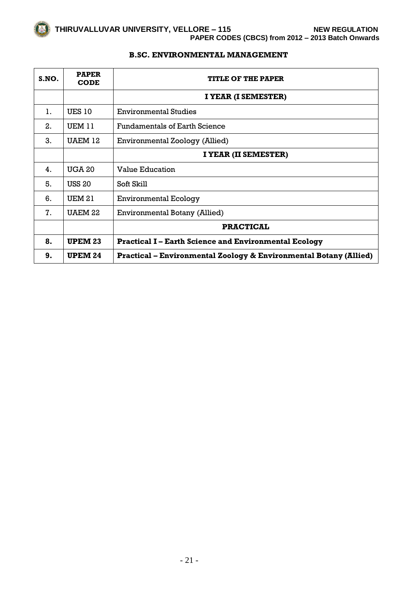

# **B.SC. ENVIRONMENTAL MANAGEMENT**

| S.NO. | <b>PAPER</b><br><b>CODE</b> | <b>TITLE OF THE PAPER</b>                                         |
|-------|-----------------------------|-------------------------------------------------------------------|
|       |                             | I YEAR (I SEMESTER)                                               |
| 1.    | <b>UES 10</b>               | <b>Environmental Studies</b>                                      |
| 2.    | UEM 11                      | <b>Fundamentals of Earth Science</b>                              |
| 3.    | UAEM 12                     | <b>Environmental Zoology (Allied)</b>                             |
|       |                             | I YEAR (II SEMESTER)                                              |
| 4.    | <b>UGA 20</b>               | <b>Value Education</b>                                            |
| 5.    | <b>USS 20</b>               | Soft Skill                                                        |
| 6.    | <b>UEM 21</b>               | <b>Environmental Ecology</b>                                      |
| 7.    | UAEM 22                     | Environmental Botany (Allied)                                     |
|       |                             | <b>PRACTICAL</b>                                                  |
| 8.    | <b>UPEM 23</b>              | <b>Practical I – Earth Science and Environmental Ecology</b>      |
| 9.    | <b>UPEM 24</b>              | Practical – Environmental Zoology & Environmental Botany (Allied) |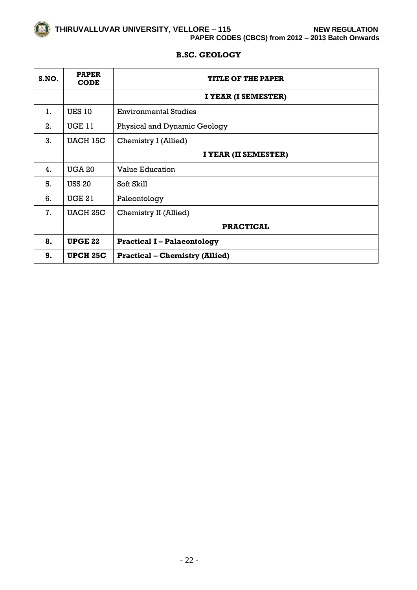# **B.SC. GEOLOGY**

| S.NO. | <b>PAPER</b><br><b>CODE</b> | <b>TITLE OF THE PAPER</b>             |
|-------|-----------------------------|---------------------------------------|
|       |                             | I YEAR (I SEMESTER)                   |
| 1.    | <b>UES 10</b>               | <b>Environmental Studies</b>          |
| 2.    | <b>UGE 11</b>               | Physical and Dynamic Geology          |
| 3.    | <b>UACH 15C</b>             | Chemistry I (Allied)                  |
|       |                             | I YEAR (II SEMESTER)                  |
| 4.    | <b>UGA 20</b>               | <b>Value Education</b>                |
| 5.    | <b>USS 20</b>               | Soft Skill                            |
| 6.    | <b>UGE 21</b>               | Paleontology                          |
| 7.    | <b>UACH 25C</b>             | Chemistry II (Allied)                 |
|       |                             | <b>PRACTICAL</b>                      |
| 8.    | <b>UPGE 22</b>              | <b>Practical I - Palaeontology</b>    |
| 9.    | <b>UPCH 25C</b>             | <b>Practical – Chemistry (Allied)</b> |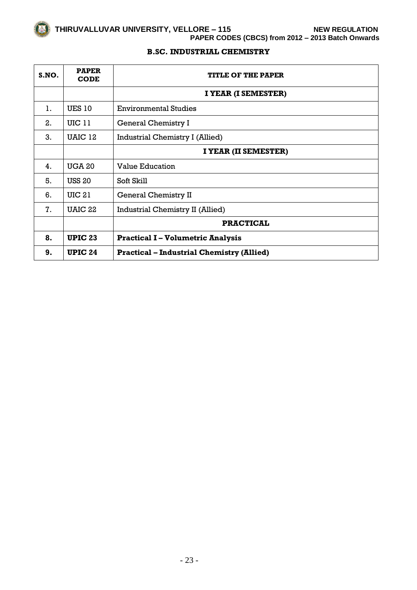# **THIRUVALLUVAR UNIVERSITY, VELLORE – 115 NEW REGULATION PAPER CODES (CBCS) from 2012 – 2013 Batch Onwards**

## **B.SC. INDUSTRIAL CHEMISTRY**

| S.NO. | <b>PAPER</b><br><b>CODE</b> | <b>TITLE OF THE PAPER</b>                        |
|-------|-----------------------------|--------------------------------------------------|
|       |                             | I YEAR (I SEMESTER)                              |
| 1.    | <b>UES 10</b>               | <b>Environmental Studies</b>                     |
| 2.    | <b>UIC 11</b>               | General Chemistry I                              |
| 3.    | UAIC 12                     | Industrial Chemistry I (Allied)                  |
|       |                             | I YEAR (II SEMESTER)                             |
| 4.    | <b>UGA 20</b>               | <b>Value Education</b>                           |
| 5.    | <b>USS 20</b>               | Soft Skill                                       |
| 6.    | <b>UIC 21</b>               | <b>General Chemistry II</b>                      |
| 7.    | UAIC 22                     | Industrial Chemistry II (Allied)                 |
|       |                             | <b>PRACTICAL</b>                                 |
| 8.    | <b>UPIC 23</b>              | <b>Practical I-Volumetric Analysis</b>           |
| 9.    | <b>UPIC 24</b>              | <b>Practical – Industrial Chemistry (Allied)</b> |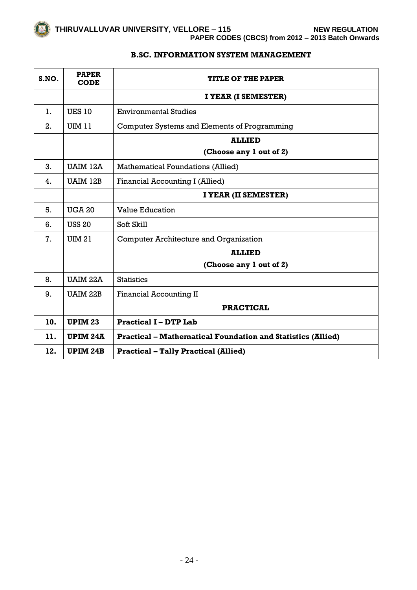

## **B.SC. INFORMATION SYSTEM MANAGEMENT**

| S.NO. | <b>PAPER</b><br><b>CODE</b> | <b>TITLE OF THE PAPER</b>                                          |
|-------|-----------------------------|--------------------------------------------------------------------|
|       |                             | I YEAR (I SEMESTER)                                                |
| 1.    | <b>UES 10</b>               | <b>Environmental Studies</b>                                       |
| 2.    | <b>UIM 11</b>               | Computer Systems and Elements of Programming                       |
|       |                             | <b>ALLIED</b>                                                      |
|       |                             | (Choose any 1 out of 2)                                            |
| 3.    | <b>UAIM 12A</b>             | <b>Mathematical Foundations (Allied)</b>                           |
| 4.    | <b>UAIM 12B</b>             | Financial Accounting I (Allied)                                    |
|       |                             | I YEAR (II SEMESTER)                                               |
| 5.    | <b>UGA 20</b>               | <b>Value Education</b>                                             |
| 6.    | <b>USS 20</b>               | Soft Skill                                                         |
| 7.    | <b>UIM 21</b>               | <b>Computer Architecture and Organization</b>                      |
|       |                             | <b>ALLIED</b>                                                      |
|       |                             | (Choose any 1 out of 2)                                            |
| 8.    | <b>UAIM 22A</b>             | <b>Statistics</b>                                                  |
| 9.    | <b>UAIM 22B</b>             | <b>Financial Accounting II</b>                                     |
|       |                             | <b>PRACTICAL</b>                                                   |
| 10.   | <b>UPIM 23</b>              | <b>Practical I - DTP Lab</b>                                       |
| 11.   | UPIM <sub>24</sub> A        | <b>Practical – Mathematical Foundation and Statistics (Allied)</b> |
| 12.   | UPIM <sub>24</sub> B        | <b>Practical - Tally Practical (Allied)</b>                        |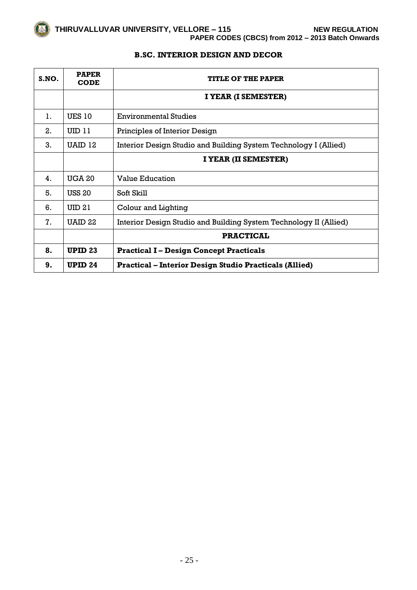# **B.SC. INTERIOR DESIGN AND DECOR**

| S.NO. | <b>PAPER</b><br><b>CODE</b> | <b>TITLE OF THE PAPER</b>                                         |
|-------|-----------------------------|-------------------------------------------------------------------|
|       |                             | I YEAR (I SEMESTER)                                               |
| 1.    | <b>UES 10</b>               | <b>Environmental Studies</b>                                      |
| 2.    | UID 11                      | Principles of Interior Design                                     |
| 3.    | UAID 12                     | Interior Design Studio and Building System Technology I (Allied)  |
|       |                             | I YEAR (II SEMESTER)                                              |
| 4.    | <b>UGA 20</b>               | <b>Value Education</b>                                            |
| 5.    | <b>USS 20</b>               | Soft Skill                                                        |
| 6.    | UID <sub>21</sub>           | Colour and Lighting                                               |
| 7.    | UAID <sub>22</sub>          | Interior Design Studio and Building System Technology II (Allied) |
|       |                             | <b>PRACTICAL</b>                                                  |
| 8.    | <b>UPID 23</b>              | <b>Practical I – Design Concept Practicals</b>                    |
| 9.    | <b>UPID 24</b>              | <b>Practical – Interior Design Studio Practicals (Allied)</b>     |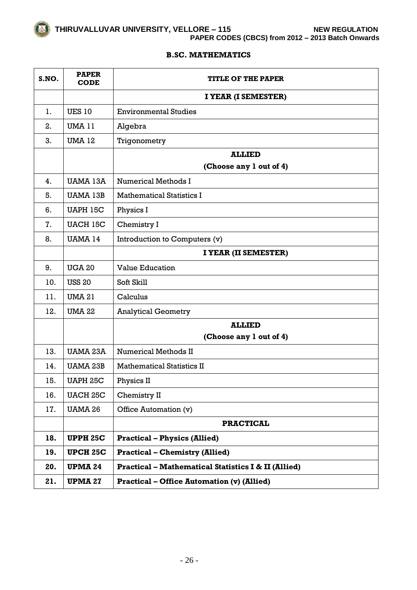

# **B.SC. MATHEMATICS**

| S.NO. | <b>PAPER</b><br><b>CODE</b> | <b>TITLE OF THE PAPER</b>                                      |
|-------|-----------------------------|----------------------------------------------------------------|
|       |                             | I YEAR (I SEMESTER)                                            |
| 1.    | <b>UES 10</b>               | <b>Environmental Studies</b>                                   |
| 2.    | <b>UMA 11</b>               | Algebra                                                        |
| 3.    | <b>UMA 12</b>               | Trigonometry                                                   |
|       |                             | <b>ALLIED</b>                                                  |
|       |                             | (Choose any 1 out of 4)                                        |
| 4.    | <b>UAMA 13A</b>             | <b>Numerical Methods I</b>                                     |
| 5.    | <b>UAMA 13B</b>             | <b>Mathematical Statistics I</b>                               |
| 6.    | <b>UAPH 15C</b>             | Physics I                                                      |
| 7.    | <b>UACH 15C</b>             | Chemistry I                                                    |
| 8.    | <b>UAMA 14</b>              | Introduction to Computers (v)                                  |
|       |                             | I YEAR (II SEMESTER)                                           |
| 9.    | <b>UGA 20</b>               | <b>Value Education</b>                                         |
| 10.   | <b>USS 20</b>               | Soft Skill                                                     |
| 11.   | <b>UMA 21</b>               | Calculus                                                       |
| 12.   | <b>UMA 22</b>               | <b>Analytical Geometry</b>                                     |
|       |                             | <b>ALLIED</b>                                                  |
|       |                             | (Choose any 1 out of 4)                                        |
| 13.   | <b>UAMA 23A</b>             | <b>Numerical Methods II</b>                                    |
| 14.   | <b>UAMA 23B</b>             | <b>Mathematical Statistics II</b>                              |
| 15.   | <b>UAPH 25C</b>             | Physics II                                                     |
| 16.   | <b>UACH 25C</b>             | Chemistry II                                                   |
| 17.   | <b>UAMA 26</b>              | Office Automation (v)                                          |
|       |                             | <b>PRACTICAL</b>                                               |
| 18.   | <b>UPPH 25C</b>             | <b>Practical - Physics (Allied)</b>                            |
| 19.   | <b>UPCH 25C</b>             | <b>Practical - Chemistry (Allied)</b>                          |
| 20.   | <b>UPMA 24</b>              | <b>Practical - Mathematical Statistics I &amp; II (Allied)</b> |
| 21.   | <b>UPMA 27</b>              | <b>Practical – Office Automation (v) (Allied)</b>              |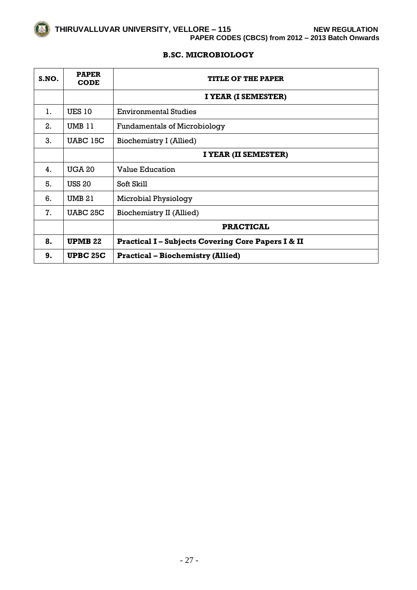

# **B.SC. MICROBIOLOGY**

| S.NO. | <b>PAPER</b><br><b>CODE</b> | <b>TITLE OF THE PAPER</b>                                   |
|-------|-----------------------------|-------------------------------------------------------------|
|       |                             | I YEAR (I SEMESTER)                                         |
| 1.    | <b>UES 10</b>               | <b>Environmental Studies</b>                                |
| 2.    | UMB 11                      | <b>Fundamentals of Microbiology</b>                         |
| 3.    | UABC 15C                    | Biochemistry I (Allied)                                     |
|       |                             | I YEAR (II SEMESTER)                                        |
| 4.    | <b>UGA 20</b>               | <b>Value Education</b>                                      |
| 5.    | <b>USS 20</b>               | Soft Skill                                                  |
| 6.    | <b>UMB 21</b>               | Microbial Physiology                                        |
| 7.    | UABC 25C                    | Biochemistry II (Allied)                                    |
|       |                             | <b>PRACTICAL</b>                                            |
| 8.    | UPMB 22                     | <b>Practical I-Subjects Covering Core Papers I &amp; II</b> |
| 9.    | <b>UPBC 25C</b>             | <b>Practical – Biochemistry (Allied)</b>                    |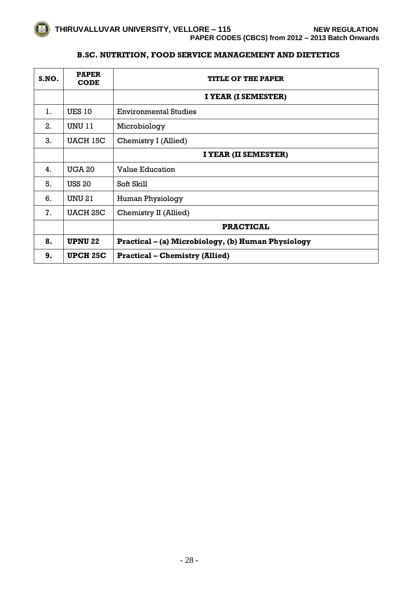# **B.SC. NUTRITION, FOOD SERVICE MANAGEMENT AND DIETETICS**

| S.NO. | <b>PAPER</b><br><b>CODE</b> | <b>TITLE OF THE PAPER</b>                          |
|-------|-----------------------------|----------------------------------------------------|
|       |                             | I YEAR (I SEMESTER)                                |
| 1.    | <b>UES 10</b>               | <b>Environmental Studies</b>                       |
| 2.    | <b>UNU 11</b>               | Microbiology                                       |
| 3.    | UACH 15C                    | Chemistry I (Allied)                               |
|       |                             | I YEAR (II SEMESTER)                               |
| 4.    | <b>UGA 20</b>               | <b>Value Education</b>                             |
| 5.    | <b>USS 20</b>               | Soft Skill                                         |
| 6.    | <b>UNU 21</b>               | Human Physiology                                   |
| 7.    | <b>UACH 25C</b>             | Chemistry II (Allied)                              |
|       |                             | <b>PRACTICAL</b>                                   |
| 8.    | <b>UPNU 22</b>              | Practical - (a) Microbiology, (b) Human Physiology |
| 9.    | <b>UPCH 25C</b>             | <b>Practical – Chemistry (Allied)</b>              |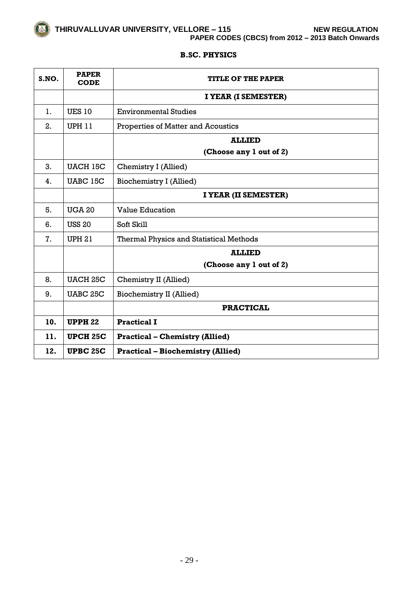

#### **B.SC. PHYSICS**

| S.NO. | <b>PAPER</b><br><b>CODE</b> | <b>TITLE OF THE PAPER</b>                      |
|-------|-----------------------------|------------------------------------------------|
|       |                             | I YEAR (I SEMESTER)                            |
| 1.    | <b>UES 10</b>               | <b>Environmental Studies</b>                   |
| 2.    | <b>UPH 11</b>               | Properties of Matter and Acoustics             |
|       |                             | <b>ALLIED</b>                                  |
|       |                             | (Choose any 1 out of 2)                        |
| 3.    | <b>UACH 15C</b>             | Chemistry I (Allied)                           |
| 4.    | UABC 15C                    | Biochemistry I (Allied)                        |
|       |                             | I YEAR (II SEMESTER)                           |
| 5.    | <b>UGA 20</b>               | <b>Value Education</b>                         |
| 6.    | <b>USS 20</b>               | Soft Skill                                     |
| 7.    | <b>UPH 21</b>               | <b>Thermal Physics and Statistical Methods</b> |
|       |                             | <b>ALLIED</b>                                  |
|       |                             | (Choose any 1 out of 2)                        |
| 8.    | <b>UACH 25C</b>             | Chemistry II (Allied)                          |
| 9.    | <b>UABC 25C</b>             | Biochemistry II (Allied)                       |
|       |                             | <b>PRACTICAL</b>                               |
| 10.   | <b>UPPH 22</b>              | <b>Practical I</b>                             |
| 11.   | <b>UPCH 25C</b>             | <b>Practical – Chemistry (Allied)</b>          |
| 12.   | <b>UPBC 25C</b>             | <b>Practical – Biochemistry (Allied)</b>       |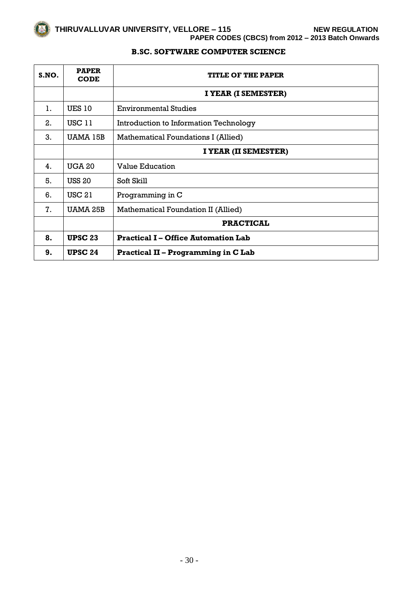# **B.SC. SOFTWARE COMPUTER SCIENCE**

| S.NO. | <b>PAPER</b><br><b>CODE</b> | <b>TITLE OF THE PAPER</b>                  |
|-------|-----------------------------|--------------------------------------------|
|       |                             | I YEAR (I SEMESTER)                        |
| 1.    | <b>UES 10</b>               | <b>Environmental Studies</b>               |
| 2.    | <b>USC 11</b>               | Introduction to Information Technology     |
| 3.    | UAMA 15B                    | Mathematical Foundations I (Allied)        |
|       |                             | I YEAR (II SEMESTER)                       |
| 4.    | <b>UGA 20</b>               | <b>Value Education</b>                     |
| 5.    | <b>USS 20</b>               | Soft Skill                                 |
| 6.    | <b>USC 21</b>               | Programming in C                           |
| 7.    | UAMA 25B                    | Mathematical Foundation II (Allied)        |
|       |                             | <b>PRACTICAL</b>                           |
| 8.    | <b>UPSC 23</b>              | <b>Practical I – Office Automation Lab</b> |
| 9.    | <b>UPSC 24</b>              | <b>Practical II - Programming in C Lab</b> |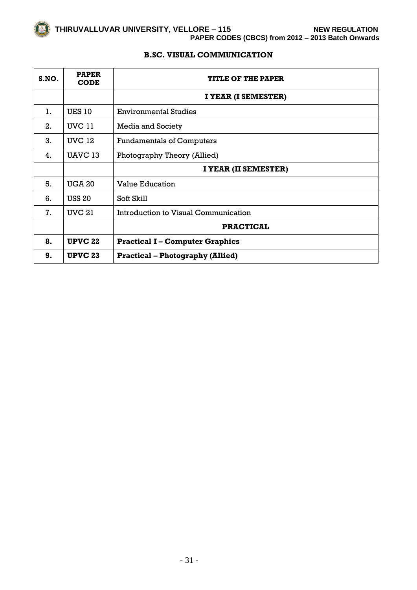

# **B.SC. VISUAL COMMUNICATION**

| S.NO. | <b>PAPER</b><br><b>CODE</b> | <b>TITLE OF THE PAPER</b>               |
|-------|-----------------------------|-----------------------------------------|
|       |                             | I YEAR (I SEMESTER)                     |
| 1.    | <b>UES 10</b>               | <b>Environmental Studies</b>            |
| 2.    | <b>UVC 11</b>               | Media and Society                       |
| 3.    | <b>UVC 12</b>               | <b>Fundamentals of Computers</b>        |
| 4.    | UAVC 13                     | Photography Theory (Allied)             |
|       |                             | I YEAR (II SEMESTER)                    |
| 5.    | <b>UGA 20</b>               | <b>Value Education</b>                  |
| 6.    | <b>USS 20</b>               | Soft Skill                              |
| 7.    | <b>UVC 21</b>               | Introduction to Visual Communication    |
|       |                             | <b>PRACTICAL</b>                        |
| 8.    | <b>UPVC 22</b>              | <b>Practical I – Computer Graphics</b>  |
| 9.    | <b>UPVC 23</b>              | <b>Practical - Photography (Allied)</b> |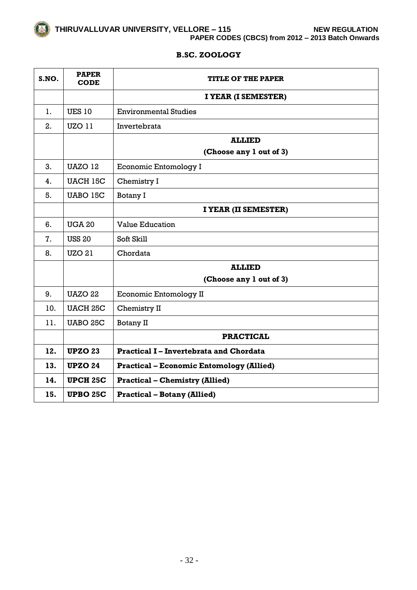

# **B.SC. ZOOLOGY**

| S.NO. | <b>PAPER</b><br><b>CODE</b> | <b>TITLE OF THE PAPER</b>                       |
|-------|-----------------------------|-------------------------------------------------|
|       |                             | I YEAR (I SEMESTER)                             |
| 1.    | <b>UES 10</b>               | <b>Environmental Studies</b>                    |
| 2.    | <b>UZO 11</b>               | Invertebrata                                    |
|       |                             | <b>ALLIED</b>                                   |
|       |                             | (Choose any 1 out of 3)                         |
| 3.    | <b>UAZO 12</b>              | <b>Economic Entomology I</b>                    |
| 4.    | <b>UACH 15C</b>             | Chemistry I                                     |
| 5.    | <b>UABO 15C</b>             | Botany I                                        |
|       |                             | I YEAR (II SEMESTER)                            |
| 6.    | <b>UGA 20</b>               | <b>Value Education</b>                          |
| 7.    | <b>USS 20</b>               | Soft Skill                                      |
| 8.    | <b>UZO 21</b>               | Chordata                                        |
|       |                             | <b>ALLIED</b>                                   |
|       |                             | (Choose any 1 out of 3)                         |
| 9.    | <b>UAZO 22</b>              | <b>Economic Entomology II</b>                   |
| 10.   | <b>UACH 25C</b>             | Chemistry II                                    |
| 11.   | <b>UABO 25C</b>             | Botany II                                       |
|       |                             | <b>PRACTICAL</b>                                |
| 12.   | <b>UPZO 23</b>              | <b>Practical I-Invertebrata and Chordata</b>    |
| 13.   | <b>UPZO 24</b>              | <b>Practical - Economic Entomology (Allied)</b> |
| 14.   | <b>UPCH 25C</b>             | <b>Practical - Chemistry (Allied)</b>           |
| 15.   | <b>UPBO 25C</b>             | <b>Practical - Botany (Allied)</b>              |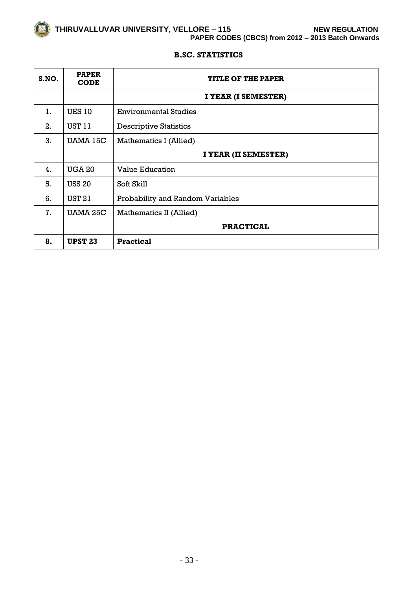

# **B.SC. STATISTICS**

| S.NO. | <b>PAPER</b><br><b>CODE</b> | <b>TITLE OF THE PAPER</b>        |
|-------|-----------------------------|----------------------------------|
|       |                             | I YEAR (I SEMESTER)              |
| 1.    | <b>UES 10</b>               | <b>Environmental Studies</b>     |
| 2.    | <b>UST 11</b>               | <b>Descriptive Statistics</b>    |
| 3.    | UAMA 15C                    | Mathematics I (Allied)           |
|       |                             | I YEAR (II SEMESTER)             |
| 4.    | <b>UGA 20</b>               | <b>Value Education</b>           |
| 5.    | <b>USS 20</b>               | Soft Skill                       |
| 6.    | <b>UST 21</b>               | Probability and Random Variables |
| 7.    | <b>UAMA 25C</b>             | Mathematics II (Allied)          |
|       |                             | <b>PRACTICAL</b>                 |
| 8.    | UPST <sub>23</sub>          | <b>Practical</b>                 |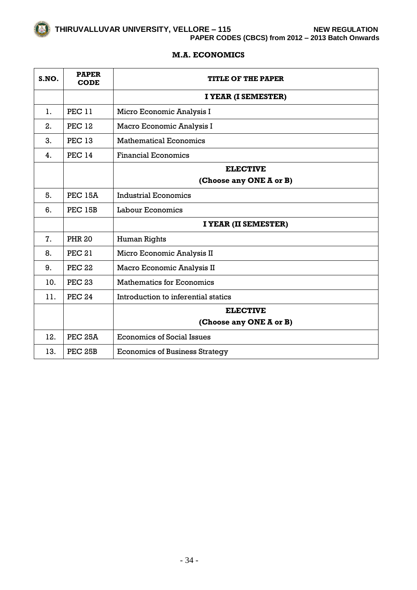# **M.A. ECONOMICS**

| S.NO. | <b>PAPER</b><br><b>CODE</b> | <b>TITLE OF THE PAPER</b>             |
|-------|-----------------------------|---------------------------------------|
|       |                             | I YEAR (I SEMESTER)                   |
| 1.    | <b>PEC 11</b>               | Micro Economic Analysis I             |
| 2.    | <b>PEC 12</b>               | Macro Economic Analysis I             |
| 3.    | <b>PEC 13</b>               | <b>Mathematical Economics</b>         |
| 4.    | <b>PEC 14</b>               | <b>Financial Economics</b>            |
|       |                             | <b>ELECTIVE</b>                       |
|       |                             | (Choose any ONE A or B)               |
| 5.    | <b>PEC 15A</b>              | <b>Industrial Economics</b>           |
| 6.    | <b>PEC 15B</b>              | Labour Economics                      |
|       |                             | I YEAR (II SEMESTER)                  |
| 7.    | <b>PHR 20</b>               | Human Rights                          |
| 8.    | <b>PEC 21</b>               | Micro Economic Analysis II            |
| 9.    | <b>PEC 22</b>               | Macro Economic Analysis II            |
| 10.   | <b>PEC 23</b>               | <b>Mathematics for Economics</b>      |
| 11.   | <b>PEC 24</b>               | Introduction to inferential statics   |
|       |                             | <b>ELECTIVE</b>                       |
|       |                             | (Choose any ONE A or B)               |
| 12.   | <b>PEC 25A</b>              | <b>Economics of Social Issues</b>     |
| 13.   | PEC 25B                     | <b>Economics of Business Strategy</b> |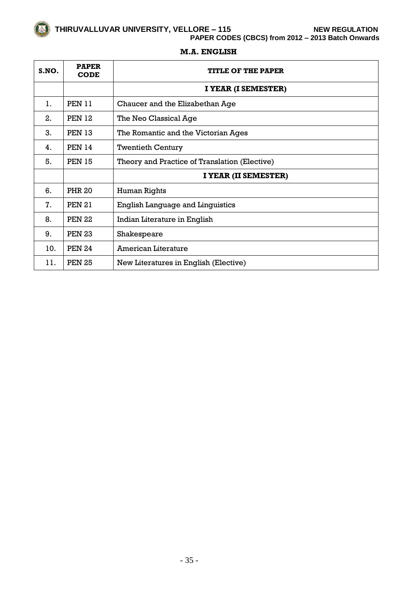**PAPER CODES (CBCS) from 2012 – 2013 Batch Onwards**

| S.NO. | <b>PAPER</b><br><b>CODE</b> | <b>TITLE OF THE PAPER</b>                     |
|-------|-----------------------------|-----------------------------------------------|
|       |                             | I YEAR (I SEMESTER)                           |
| 1.    | <b>PEN 11</b>               | Chaucer and the Elizabethan Age               |
| 2.    | <b>PEN 12</b>               | The Neo Classical Age                         |
| 3.    | <b>PEN 13</b>               | The Romantic and the Victorian Ages           |
| 4.    | <b>PEN 14</b>               | <b>Twentieth Century</b>                      |
| 5.    | <b>PEN 15</b>               | Theory and Practice of Translation (Elective) |
|       |                             | I YEAR (II SEMESTER)                          |
| 6.    | <b>PHR 20</b>               | Human Rights                                  |
| 7.    | <b>PEN 21</b>               | <b>English Language and Linguistics</b>       |
| 8.    | <b>PEN 22</b>               | Indian Literature in English                  |
| 9.    | <b>PEN 23</b>               | Shakespeare                                   |
| 10.   | <b>PEN 24</b>               | American Literature                           |
| 11.   | <b>PEN 25</b>               | New Literatures in English (Elective)         |

# **M.A. ENGLISH**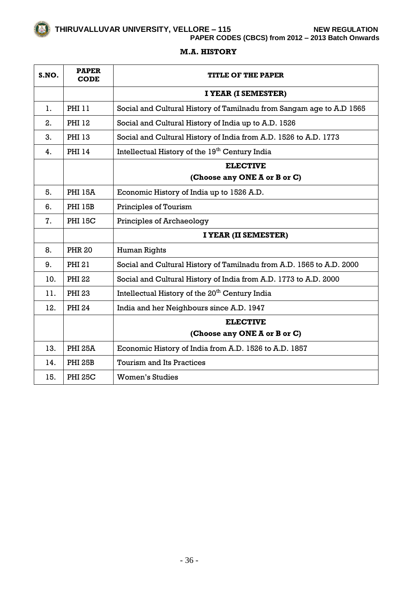**PAPER CODES (CBCS) from 2012 – 2013 Batch Onwards**

## **M.A. HISTORY**

| S.NO. | <b>PAPER</b><br>CODE | <b>TITLE OF THE PAPER</b>                                            |
|-------|----------------------|----------------------------------------------------------------------|
|       |                      | I YEAR (I SEMESTER)                                                  |
| 1.    | <b>PHI 11</b>        | Social and Cultural History of Tamilnadu from Sangam age to A.D 1565 |
| 2.    | PHI 12               | Social and Cultural History of India up to A.D. 1526                 |
| 3.    | PHI 13               | Social and Cultural History of India from A.D. 1526 to A.D. 1773     |
| 4.    | <b>PHI 14</b>        | Intellectual History of the 19 <sup>th</sup> Century India           |
|       |                      | <b>ELECTIVE</b>                                                      |
|       |                      | (Choose any ONE A or B or C)                                         |
| 5.    | <b>PHI 15A</b>       | Economic History of India up to 1526 A.D.                            |
| 6.    | <b>PHI 15B</b>       | Principles of Tourism                                                |
| 7.    | <b>PHI 15C</b>       | Principles of Archaeology                                            |
|       |                      | I YEAR (II SEMESTER)                                                 |
| 8.    | <b>PHR 20</b>        | Human Rights                                                         |
| 9.    | PHI 21               | Social and Cultural History of Tamilnadu from A.D. 1565 to A.D. 2000 |
| 10.   | <b>PHI 22</b>        | Social and Cultural History of India from A.D. 1773 to A.D. 2000     |
| 11.   | <b>PHI 23</b>        | Intellectual History of the 20 <sup>th</sup> Century India           |
| 12.   | <b>PHI 24</b>        | India and her Neighbours since A.D. 1947                             |
|       |                      | <b>ELECTIVE</b>                                                      |
|       |                      | (Choose any ONE A or B or C)                                         |
| 13.   | <b>PHI 25A</b>       | Economic History of India from A.D. 1526 to A.D. 1857                |
| 14.   | <b>PHI 25B</b>       | <b>Tourism and Its Practices</b>                                     |
| 15.   | <b>PHI 25C</b>       | Women's Studies                                                      |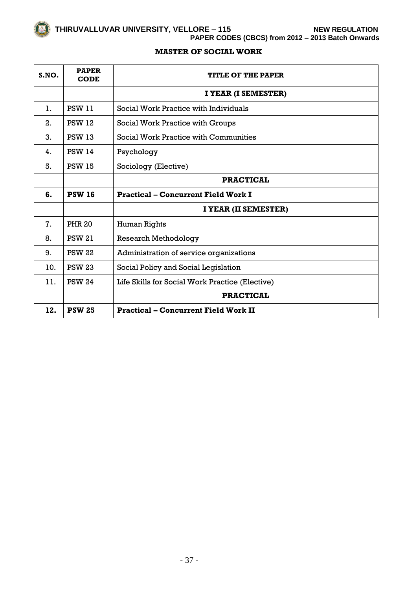**PAPER CODES (CBCS) from 2012 – 2013 Batch Onwards**

# **MASTER OF SOCIAL WORK**

| S.NO. | <b>PAPER</b><br><b>CODE</b> | <b>TITLE OF THE PAPER</b>                       |
|-------|-----------------------------|-------------------------------------------------|
|       |                             | I YEAR (I SEMESTER)                             |
| 1.    | <b>PSW 11</b>               | Social Work Practice with Individuals           |
| 2.    | <b>PSW 12</b>               | Social Work Practice with Groups                |
| 3.    | <b>PSW 13</b>               | Social Work Practice with Communities           |
| 4.    | <b>PSW 14</b>               | Psychology                                      |
| 5.    | <b>PSW 15</b>               | Sociology (Elective)                            |
|       |                             | <b>PRACTICAL</b>                                |
| 6.    | <b>PSW 16</b>               | <b>Practical – Concurrent Field Work I</b>      |
|       |                             | I YEAR (II SEMESTER)                            |
| 7.    | <b>PHR 20</b>               | Human Rights                                    |
| 8.    | <b>PSW 21</b>               | <b>Research Methodology</b>                     |
| 9.    | <b>PSW 22</b>               | Administration of service organizations         |
| 10.   | <b>PSW 23</b>               | Social Policy and Social Legislation            |
| 11.   | <b>PSW 24</b>               | Life Skills for Social Work Practice (Elective) |
|       |                             | <b>PRACTICAL</b>                                |
| 12.   | <b>PSW 25</b>               | <b>Practical - Concurrent Field Work II</b>     |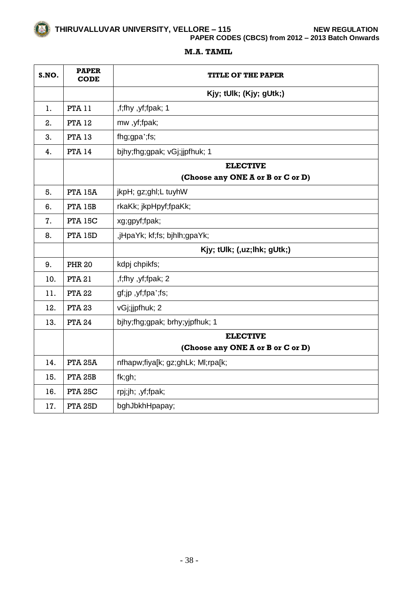**PAPER CODES (CBCS) from 2012 – 2013 Batch Onwards**

# **M.A. TAMIL**

| S.NO. | <b>PAPER</b><br><b>CODE</b> | TITLE OF THE PAPER                |
|-------|-----------------------------|-----------------------------------|
|       |                             | Kjy; tUlk; (Kjy; gUtk;)           |
| 1.    | <b>PTA 11</b>               | ,f;fhy ,yf;fpak; 1                |
| 2.    | <b>PTA 12</b>               | mw, yf;fpak;                      |
| 3.    | <b>PTA 13</b>               | fhg;gpa';fs;                      |
| 4.    | <b>PTA 14</b>               | bjhy;fhg;gpak; vGj;jjpfhuk; 1     |
|       |                             | <b>ELECTIVE</b>                   |
|       |                             | (Choose any ONE A or B or C or D) |
| 5.    | <b>PTA 15A</b>              | jkpH; gz;ghl;L tuyhW              |
| 6.    | <b>PTA 15B</b>              | rkaKk; jkpHpyf;fpaKk;             |
| 7.    | <b>PTA 15C</b>              | xg;gpyf;fpak;                     |
| 8.    | <b>PTA 15D</b>              | ,jHpaYk; kf;fs; bjhlh;gpaYk;      |
|       |                             | Kjy; tUlk; (,uz;lhk; gUtk;)       |
| 9.    | <b>PHR 20</b>               | kdpj chpikfs;                     |
| 10.   | <b>PTA 21</b>               | ,f;fhy ,yf;fpak; 2                |
| 11.   | <b>PTA 22</b>               | gf;jp,yf;fpa';fs;                 |
| 12.   | <b>PTA 23</b>               | vGj;jjpfhuk; 2                    |
| 13.   | <b>PTA 24</b>               | bjhy;fhg;gpak; brhy;yjpfhuk; 1    |
|       |                             | <b>ELECTIVE</b>                   |
|       |                             | (Choose any ONE A or B or C or D) |
| 14.   | <b>PTA 25A</b>              | nfhapw;fiya[k; gz;ghLk; Ml;rpa[k; |
| 15.   | <b>PTA 25B</b>              | fk;gh;                            |
| 16.   | <b>PTA 25C</b>              | rpj;jh; ,yf;fpak;                 |
| 17.   | <b>PTA 25D</b>              | bghJbkhHpapay;                    |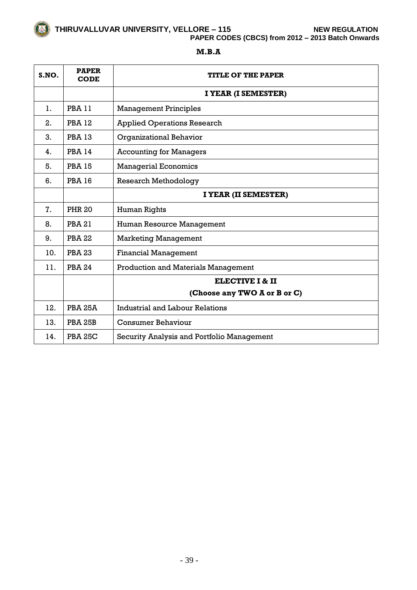

**PAPER CODES (CBCS) from 2012 – 2013 Batch Onwards**

# **M.B.A**

| S.NO. | <b>PAPER</b><br><b>CODE</b> | <b>TITLE OF THE PAPER</b>                  |
|-------|-----------------------------|--------------------------------------------|
|       |                             | I YEAR (I SEMESTER)                        |
| 1.    | <b>PBA 11</b>               | <b>Management Principles</b>               |
| 2.    | <b>PBA 12</b>               | <b>Applied Operations Research</b>         |
| 3.    | <b>PBA 13</b>               | <b>Organizational Behavior</b>             |
| 4.    | <b>PBA 14</b>               | <b>Accounting for Managers</b>             |
| 5.    | <b>PBA 15</b>               | <b>Managerial Economics</b>                |
| 6.    | <b>PBA 16</b>               | <b>Research Methodology</b>                |
|       |                             | I YEAR (II SEMESTER)                       |
| 7.    | <b>PHR 20</b>               | Human Rights                               |
| 8.    | <b>PBA21</b>                | Human Resource Management                  |
| 9.    | <b>PBA 22</b>               | <b>Marketing Management</b>                |
| 10.   | <b>PBA 23</b>               | <b>Financial Management</b>                |
| 11.   | <b>PBA 24</b>               | <b>Production and Materials Management</b> |
|       |                             | <b>ELECTIVE I &amp; II</b>                 |
|       |                             | (Choose any TWO A or B or C)               |
| 12.   | <b>PBA 25A</b>              | <b>Industrial and Labour Relations</b>     |
| 13.   | <b>PBA 25B</b>              | Consumer Behaviour                         |
| 14.   | <b>PBA 25C</b>              | Security Analysis and Portfolio Management |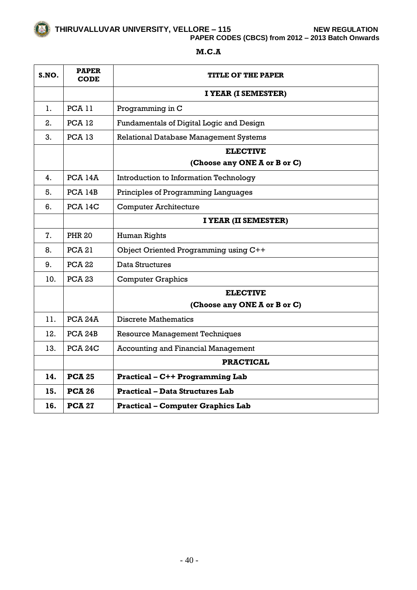**PAPER CODES (CBCS) from 2012 – 2013 Batch Onwards**

| S.NO. | <b>PAPER</b><br><b>CODE</b> | TITLE OF THE PAPER                            |
|-------|-----------------------------|-----------------------------------------------|
|       |                             | I YEAR (I SEMESTER)                           |
| 1.    | <b>PCA 11</b>               | Programming in C                              |
| 2.    | <b>PCA 12</b>               | Fundamentals of Digital Logic and Design      |
| 3.    | <b>PCA 13</b>               | <b>Relational Database Management Systems</b> |
|       |                             | <b>ELECTIVE</b>                               |
|       |                             | (Choose any ONE A or B or C)                  |
| 4.    | <b>PCA 14A</b>              | <b>Introduction to Information Technology</b> |
| 5.    | PCA 14B                     | Principles of Programming Languages           |
| 6.    | <b>PCA 14C</b>              | <b>Computer Architecture</b>                  |
|       |                             | I YEAR (II SEMESTER)                          |
| 7.    | <b>PHR 20</b>               | Human Rights                                  |
| 8.    | <b>PCA 21</b>               | Object Oriented Programming using C++         |
| 9.    | <b>PCA 22</b>               | Data Structures                               |
| 10.   | <b>PCA 23</b>               | <b>Computer Graphics</b>                      |
|       |                             | <b>ELECTIVE</b>                               |
|       |                             | (Choose any ONE A or B or C)                  |
| 11.   | PCA <sub>24</sub> A         | <b>Discrete Mathematics</b>                   |
| 12.   | PCA <sub>24</sub> B         | <b>Resource Management Techniques</b>         |
| 13.   | <b>PCA 24C</b>              | <b>Accounting and Financial Management</b>    |
|       |                             | <b>PRACTICAL</b>                              |
| 14.   | <b>PCA 25</b>               | <b>Practical - C++ Programming Lab</b>        |
| 15.   | <b>PCA 26</b>               | <b>Practical – Data Structures Lab</b>        |
| 16.   | <b>PCA 27</b>               | <b>Practical - Computer Graphics Lab</b>      |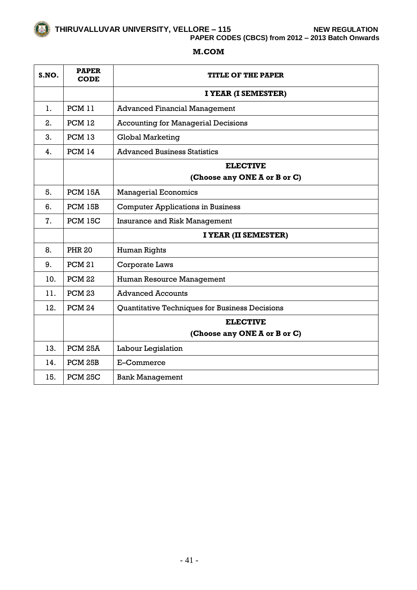**PAPER CODES (CBCS) from 2012 – 2013 Batch Onwards**

# **M.COM**

| S.NO. | <b>PAPER</b><br><b>CODE</b> | <b>TITLE OF THE PAPER</b>                      |
|-------|-----------------------------|------------------------------------------------|
|       |                             | I YEAR (I SEMESTER)                            |
| 1.    | <b>PCM 11</b>               | <b>Advanced Financial Management</b>           |
| 2.    | PCM 12                      | <b>Accounting for Managerial Decisions</b>     |
| 3.    | <b>PCM 13</b>               | <b>Global Marketing</b>                        |
| 4.    | <b>PCM 14</b>               | <b>Advanced Business Statistics</b>            |
|       |                             | <b>ELECTIVE</b>                                |
|       |                             | (Choose any ONE A or B or C)                   |
| 5.    | PCM 15A                     | <b>Managerial Economics</b>                    |
| 6.    | PCM 15B                     | <b>Computer Applications in Business</b>       |
| 7.    | <b>PCM 15C</b>              | <b>Insurance and Risk Management</b>           |
|       |                             | I YEAR (II SEMESTER)                           |
| 8.    | <b>PHR 20</b>               | Human Rights                                   |
| 9.    | <b>PCM 21</b>               | Corporate Laws                                 |
| 10.   | <b>PCM 22</b>               | Human Resource Management                      |
| 11.   | <b>PCM 23</b>               | <b>Advanced Accounts</b>                       |
| 12.   | <b>PCM 24</b>               | Quantitative Techniques for Business Decisions |
|       |                             | <b>ELECTIVE</b>                                |
|       |                             | (Choose any ONE A or B or C)                   |
| 13.   | PCM <sub>25A</sub>          | Labour Legislation                             |
| 14.   | PCM 25B                     | E-Commerce                                     |
| 15.   | <b>PCM 25C</b>              | <b>Bank Management</b>                         |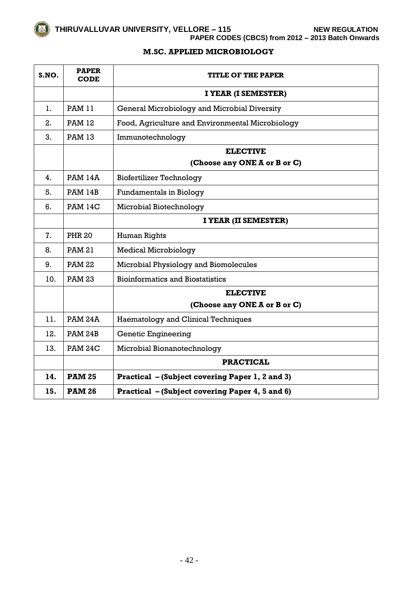**M.SC. APPLIED MICROBIOLOGY**

| S.NO. | <b>PAPER</b><br><b>CODE</b> | <b>TITLE OF THE PAPER</b>                        |
|-------|-----------------------------|--------------------------------------------------|
|       |                             | I YEAR (I SEMESTER)                              |
| 1.    | <b>PAM 11</b>               | General Microbiology and Microbial Diversity     |
| 2.    | <b>PAM 12</b>               | Food, Agriculture and Environmental Microbiology |
| 3.    | <b>PAM 13</b>               | Immunotechnology                                 |
|       |                             | <b>ELECTIVE</b>                                  |
|       |                             | (Choose any ONE A or B or C)                     |
| 4.    | <b>PAM 14A</b>              | <b>Biofertilizer Technology</b>                  |
| 5.    | <b>PAM 14B</b>              | <b>Fundamentals in Biology</b>                   |
| 6.    | <b>PAM 14C</b>              | Microbial Biotechnology                          |
|       |                             | I YEAR (II SEMESTER)                             |
| 7.    | <b>PHR 20</b>               | Human Rights                                     |
| 8.    | <b>PAM 21</b>               | <b>Medical Microbiology</b>                      |
| 9.    | <b>PAM 22</b>               | Microbial Physiology and Biomolecules            |
| 10.   | <b>PAM 23</b>               | <b>Bioinformatics and Biostatistics</b>          |
|       |                             | <b>ELECTIVE</b>                                  |
|       |                             | (Choose any ONE A or B or C)                     |
| 11.   | <b>PAM 24A</b>              | <b>Haematology and Clinical Techniques</b>       |
| 12.   | <b>PAM 24B</b>              | <b>Genetic Engineering</b>                       |
| 13.   | <b>PAM 24C</b>              | Microbial Bionanotechnology                      |
|       |                             | <b>PRACTICAL</b>                                 |
| 14.   | <b>PAM 25</b>               | Practical - (Subject covering Paper 1, 2 and 3)  |
| 15.   | <b>PAM 26</b>               | Practical - (Subject covering Paper 4, 5 and 6)  |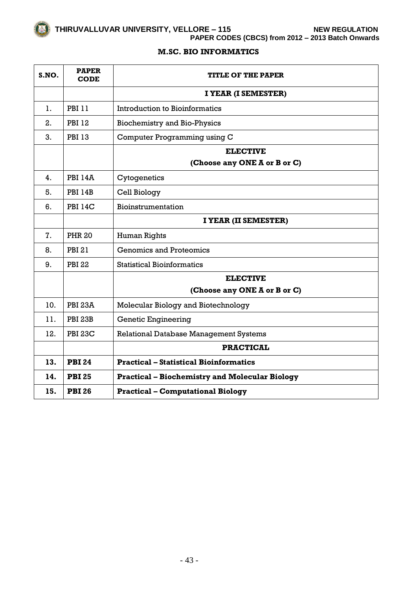**PAPER CODES (CBCS) from 2012 – 2013 Batch Onwards**

# **M.SC. BIO INFORMATICS**

| S.NO. | <b>PAPER</b><br><b>CODE</b> | <b>TITLE OF THE PAPER</b>                             |
|-------|-----------------------------|-------------------------------------------------------|
|       |                             | I YEAR (I SEMESTER)                                   |
| 1.    | <b>PBI 11</b>               | <b>Introduction to Bioinformatics</b>                 |
| 2.    | <b>PBI 12</b>               | <b>Biochemistry and Bio-Physics</b>                   |
| 3.    | <b>PBI 13</b>               | Computer Programming using C                          |
|       |                             | <b>ELECTIVE</b>                                       |
|       |                             | (Choose any ONE A or B or C)                          |
| 4.    | <b>PBI 14A</b>              | Cytogenetics                                          |
| 5.    | <b>PBI 14B</b>              | Cell Biology                                          |
| 6.    | <b>PBI 14C</b>              | Bioinstrumentation                                    |
|       |                             | I YEAR (II SEMESTER)                                  |
| 7.    | <b>PHR 20</b>               | Human Rights                                          |
| 8.    | PBI 21                      | <b>Genomics and Proteomics</b>                        |
| 9.    | <b>PBI 22</b>               | <b>Statistical Bioinformatics</b>                     |
|       |                             | <b>ELECTIVE</b>                                       |
|       |                             | (Choose any ONE A or B or C)                          |
| 10.   | <b>PBI 23A</b>              | Molecular Biology and Biotechnology                   |
| 11.   | <b>PBI 23B</b>              | <b>Genetic Engineering</b>                            |
| 12.   | <b>PBI 23C</b>              | <b>Relational Database Management Systems</b>         |
|       |                             | <b>PRACTICAL</b>                                      |
| 13.   | <b>PBI 24</b>               | <b>Practical – Statistical Bioinformatics</b>         |
| 14.   | <b>PBI 25</b>               | <b>Practical - Biochemistry and Molecular Biology</b> |
| 15.   | <b>PBI 26</b>               | <b>Practical - Computational Biology</b>              |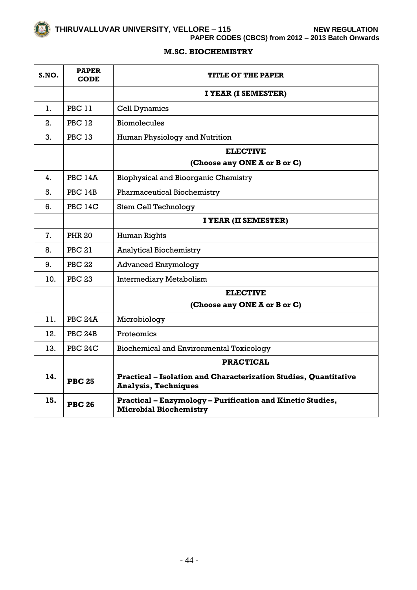**PAPER CODES (CBCS) from 2012 – 2013 Batch Onwards**

# **M.SC. BIOCHEMISTRY**

| S.NO. | <b>PAPER</b><br><b>CODE</b> | TITLE OF THE PAPER                                                                                     |
|-------|-----------------------------|--------------------------------------------------------------------------------------------------------|
|       |                             | I YEAR (I SEMESTER)                                                                                    |
| 1.    | <b>PBC 11</b>               | <b>Cell Dynamics</b>                                                                                   |
| 2.    | <b>PBC 12</b>               | <b>Biomolecules</b>                                                                                    |
| 3.    | <b>PBC 13</b>               | Human Physiology and Nutrition                                                                         |
|       |                             | <b>ELECTIVE</b>                                                                                        |
|       |                             | (Choose any ONE A or B or C)                                                                           |
| 4.    | <b>PBC 14A</b>              | <b>Biophysical and Bioorganic Chemistry</b>                                                            |
| 5.    | <b>PBC 14B</b>              | <b>Pharmaceutical Biochemistry</b>                                                                     |
| 6.    | <b>PBC 14C</b>              | <b>Stem Cell Technology</b>                                                                            |
|       |                             | I YEAR (II SEMESTER)                                                                                   |
| 7.    | <b>PHR 20</b>               | Human Rights                                                                                           |
| 8.    | <b>PBC 21</b>               | <b>Analytical Biochemistry</b>                                                                         |
| 9.    | <b>PBC 22</b>               | <b>Advanced Enzymology</b>                                                                             |
| 10.   | <b>PBC 23</b>               | <b>Intermediary Metabolism</b>                                                                         |
|       |                             | <b>ELECTIVE</b>                                                                                        |
|       |                             | (Choose any ONE A or B or C)                                                                           |
| 11.   | <b>PBC 24A</b>              | Microbiology                                                                                           |
| 12.   | <b>PBC 24B</b>              | Proteomics                                                                                             |
| 13.   | <b>PBC 24C</b>              | <b>Biochemical and Environmental Toxicology</b>                                                        |
|       |                             | <b>PRACTICAL</b>                                                                                       |
| 14.   | <b>PBC 25</b>               | <b>Practical - Isolation and Characterization Studies, Quantitative</b><br><b>Analysis, Techniques</b> |
| 15.   | <b>PBC 26</b>               | Practical - Enzymology - Purification and Kinetic Studies,<br><b>Microbial Biochemistry</b>            |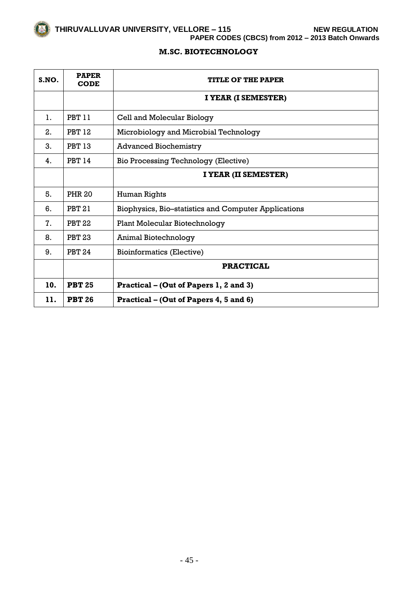**PAPER CODES (CBCS) from 2012 – 2013 Batch Onwards**

# **M.SC. BIOTECHNOLOGY**

| S.NO. | <b>PAPER</b><br><b>CODE</b> | <b>TITLE OF THE PAPER</b>                            |
|-------|-----------------------------|------------------------------------------------------|
|       |                             | I YEAR (I SEMESTER)                                  |
| 1.    | <b>PBT 11</b>               | Cell and Molecular Biology                           |
| 2.    | <b>PBT 12</b>               | Microbiology and Microbial Technology                |
| 3.    | <b>PBT 13</b>               | <b>Advanced Biochemistry</b>                         |
| 4.    | <b>PBT 14</b>               | Bio Processing Technology (Elective)                 |
|       |                             | I YEAR (II SEMESTER)                                 |
| 5.    | <b>PHR 20</b>               | Human Rights                                         |
| 6.    | <b>PBT 21</b>               | Biophysics, Bio-statistics and Computer Applications |
| 7.    | <b>PBT 22</b>               | <b>Plant Molecular Biotechnology</b>                 |
| 8.    | <b>PBT 23</b>               | Animal Biotechnology                                 |
| 9.    | <b>PBT 24</b>               | <b>Bioinformatics (Elective)</b>                     |
|       |                             | <b>PRACTICAL</b>                                     |
| 10.   | <b>PBT 25</b>               | Practical – (Out of Papers 1, 2 and 3)               |
| 11.   | <b>PBT 26</b>               | Practical – (Out of Papers 4, 5 and 6)               |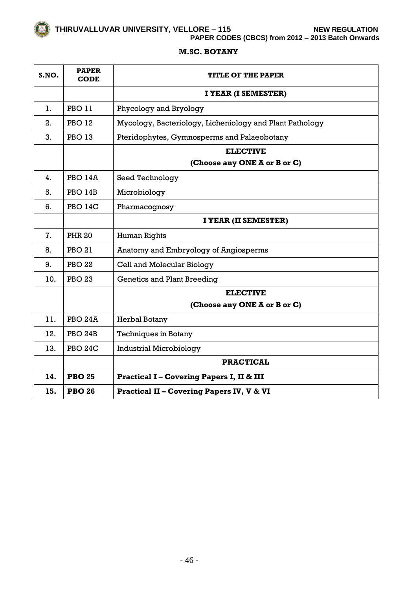**PAPER CODES (CBCS) from 2012 – 2013 Batch Onwards**

# **M.SC. BOTANY**

| S.NO. | <b>PAPER</b><br><b>CODE</b> | <b>TITLE OF THE PAPER</b>                                |
|-------|-----------------------------|----------------------------------------------------------|
|       |                             | I YEAR (I SEMESTER)                                      |
| 1.    | <b>PBO 11</b>               | Phycology and Bryology                                   |
| 2.    | <b>PBO 12</b>               | Mycology, Bacteriology, Licheniology and Plant Pathology |
| 3.    | <b>PBO 13</b>               | Pteridophytes, Gymnosperms and Palaeobotany              |
|       |                             | <b>ELECTIVE</b>                                          |
|       |                             | (Choose any ONE A or B or C)                             |
| 4.    | <b>PBO 14A</b>              | Seed Technology                                          |
| 5.    | <b>PBO 14B</b>              | Microbiology                                             |
| 6.    | <b>PBO 14C</b>              | Pharmacognosy                                            |
|       |                             | I YEAR (II SEMESTER)                                     |
| 7.    | <b>PHR 20</b>               | <b>Human Rights</b>                                      |
| 8.    | <b>PBO 21</b>               | Anatomy and Embryology of Angiosperms                    |
| 9.    | <b>PBO 22</b>               | Cell and Molecular Biology                               |
| 10.   | <b>PBO 23</b>               | <b>Genetics and Plant Breeding</b>                       |
|       |                             | <b>ELECTIVE</b>                                          |
|       |                             | (Choose any ONE A or B or C)                             |
| 11.   | PBO <sub>24</sub> A         | Herbal Botany                                            |
| 12.   | PBO <sub>24</sub> B         | <b>Techniques in Botany</b>                              |
| 13.   | <b>PBO 24C</b>              | <b>Industrial Microbiology</b>                           |
|       |                             | <b>PRACTICAL</b>                                         |
| 14.   | <b>PBO 25</b>               | <b>Practical I-Covering Papers I, II &amp; III</b>       |
| 15.   | <b>PBO 26</b>               | <b>Practical II - Covering Papers IV, V &amp; VI</b>     |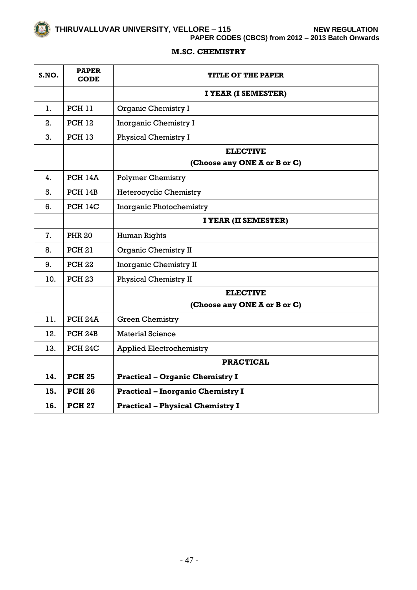**PAPER CODES (CBCS) from 2012 – 2013 Batch Onwards**

# **M.SC. CHEMISTRY**

| S.NO. | <b>PAPER</b><br><b>CODE</b> | TITLE OF THE PAPER                              |
|-------|-----------------------------|-------------------------------------------------|
|       |                             | I YEAR (I SEMESTER)                             |
| 1.    | <b>PCH 11</b>               | Organic Chemistry I                             |
| 2.    | <b>PCH 12</b>               | <b>Inorganic Chemistry I</b>                    |
| 3.    | <b>PCH 13</b>               | <b>Physical Chemistry I</b>                     |
|       |                             | <b>ELECTIVE</b><br>(Choose any ONE A or B or C) |
| 4.    | <b>PCH 14A</b>              | <b>Polymer Chemistry</b>                        |
| 5.    | PCH 14B                     | <b>Heterocyclic Chemistry</b>                   |
| 6.    | <b>PCH 14C</b>              | <b>Inorganic Photochemistry</b>                 |
|       |                             | I YEAR (II SEMESTER)                            |
| 7.    | <b>PHR 20</b>               | Human Rights                                    |
| 8.    | <b>PCH 21</b>               | <b>Organic Chemistry II</b>                     |
| 9.    | <b>PCH 22</b>               | <b>Inorganic Chemistry II</b>                   |
| 10.   | <b>PCH 23</b>               | <b>Physical Chemistry II</b>                    |
|       |                             | <b>ELECTIVE</b>                                 |
|       |                             | (Choose any ONE A or B or C)                    |
| 11.   | PCH <sub>24</sub> A         | <b>Green Chemistry</b>                          |
| 12.   | PCH <sub>24B</sub>          | <b>Material Science</b>                         |
| 13.   | PCH <sub>24</sub> C         | <b>Applied Electrochemistry</b>                 |
|       |                             | <b>PRACTICAL</b>                                |
| 14.   | <b>PCH 25</b>               | <b>Practical - Organic Chemistry I</b>          |
| 15.   | <b>PCH 26</b>               | <b>Practical - Inorganic Chemistry I</b>        |
| 16.   | <b>PCH 27</b>               | <b>Practical - Physical Chemistry I</b>         |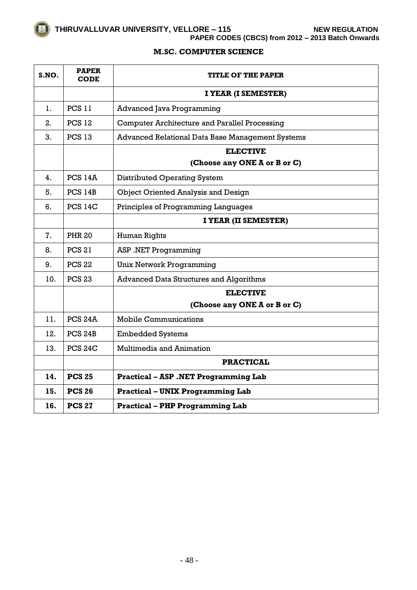$\overline{\phantom{0}}$ 

 $\mathbf{r}$ 

 $\overline{\phantom{0}}$ 

**PAPER CODES (CBCS) from 2012 – 2013 Batch Onwards**

#### **M.SC. COMPUTER SCIENCE**

| S.NO. | <b>PAPER</b><br><b>CODE</b> | <b>TITLE OF THE PAPER</b>                            |
|-------|-----------------------------|------------------------------------------------------|
|       |                             | I YEAR (I SEMESTER)                                  |
| 1.    | <b>PCS 11</b>               | <b>Advanced Java Programming</b>                     |
| 2.    | <b>PCS 12</b>               | <b>Computer Architecture and Parallel Processing</b> |
| 3.    | <b>PCS 13</b>               | Advanced Relational Data Base Management Systems     |
|       |                             | <b>ELECTIVE</b>                                      |
|       |                             | (Choose any ONE A or B or C)                         |
| 4.    | <b>PCS 14A</b>              | <b>Distributed Operating System</b>                  |
| 5.    | <b>PCS 14B</b>              | <b>Object Oriented Analysis and Design</b>           |
| 6.    | <b>PCS 14C</b>              | Principles of Programming Languages                  |
|       |                             | I YEAR (II SEMESTER)                                 |
| 7.    | <b>PHR 20</b>               | Human Rights                                         |
| 8.    | <b>PCS 21</b>               | <b>ASP .NET Programming</b>                          |
| 9.    | <b>PCS 22</b>               | <b>Unix Network Programming</b>                      |
| 10.   | <b>PCS 23</b>               | <b>Advanced Data Structures and Algorithms</b>       |
|       |                             | <b>ELECTIVE</b>                                      |
|       |                             | (Choose any ONE A or B or C)                         |
| 11.   | PCS <sub>24</sub> A         | <b>Mobile Communications</b>                         |
| 12.   | PCS <sub>24B</sub>          | <b>Embedded Systems</b>                              |
| 13.   | PCS <sub>24</sub> C         | <b>Multimedia and Animation</b>                      |
|       |                             | <b>PRACTICAL</b>                                     |
| 14.   | <b>PCS 25</b>               | <b>Practical - ASP .NET Programming Lab</b>          |
| 15.   | <b>PCS 26</b>               | <b>Practical - UNIX Programming Lab</b>              |
| 16.   | <b>PCS 27</b>               | <b>Practical - PHP Programming Lab</b>               |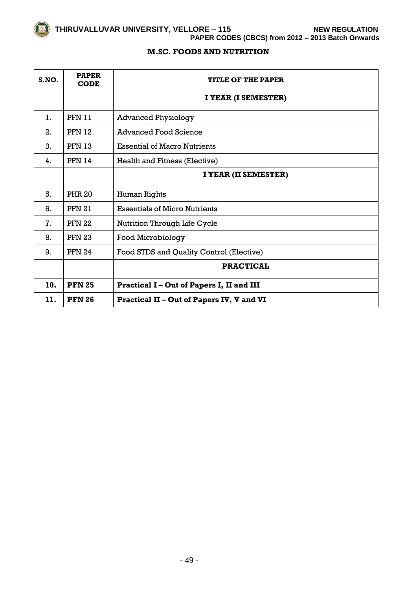**PAPER CODES (CBCS) from 2012 – 2013 Batch Onwards**

# **M.SC. FOODS AND NUTRITION**

| S.NO. | <b>PAPER</b><br><b>CODE</b> | <b>TITLE OF THE PAPER</b>                 |
|-------|-----------------------------|-------------------------------------------|
|       |                             | I YEAR (I SEMESTER)                       |
| 1.    | <b>PFN 11</b>               | <b>Advanced Physiology</b>                |
| 2.    | <b>PFN 12</b>               | Advanced Food Science                     |
| 3.    | <b>PFN 13</b>               | <b>Essential of Macro Nutrients</b>       |
| 4.    | <b>PFN 14</b>               | Health and Fitness (Elective)             |
|       |                             | I YEAR (II SEMESTER)                      |
| 5.    | <b>PHR 20</b>               | Human Rights                              |
| 6.    | <b>PFN 21</b>               | <b>Essentials of Micro Nutrients</b>      |
| 7.    | <b>PFN 22</b>               | Nutrition Through Life Cycle              |
| 8.    | <b>PFN 23</b>               | Food Microbiology                         |
| 9.    | <b>PFN 24</b>               | Food STDS and Quality Control (Elective)  |
|       |                             | <b>PRACTICAL</b>                          |
| 10.   | <b>PFN 25</b>               | Practical I – Out of Papers I, II and III |
| 11.   | <b>PFN 26</b>               | Practical II – Out of Papers IV, V and VI |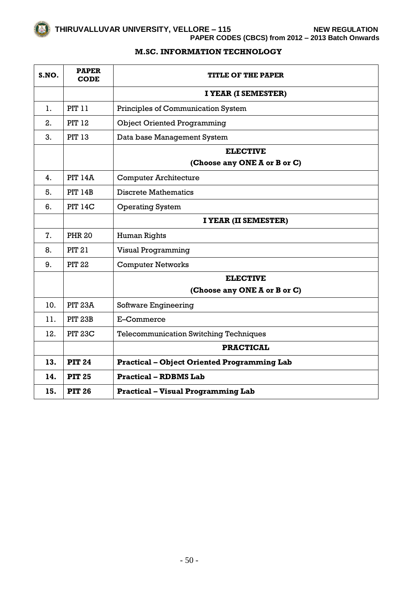**PAPER CODES (CBCS) from 2012 – 2013 Batch Onwards**

# **M.SC. INFORMATION TECHNOLOGY**

| S.NO. | <b>PAPER</b><br><b>CODE</b> | <b>TITLE OF THE PAPER</b>                          |
|-------|-----------------------------|----------------------------------------------------|
|       |                             | I YEAR (I SEMESTER)                                |
| 1.    | <b>PIT 11</b>               | Principles of Communication System                 |
| 2.    | <b>PIT 12</b>               | <b>Object Oriented Programming</b>                 |
| 3.    | <b>PIT 13</b>               | Data base Management System                        |
|       |                             | <b>ELECTIVE</b>                                    |
|       |                             | (Choose any ONE A or B or C)                       |
| 4.    | <b>PIT 14A</b>              | <b>Computer Architecture</b>                       |
| 5.    | <b>PIT 14B</b>              | <b>Discrete Mathematics</b>                        |
| 6.    | <b>PIT 14C</b>              | <b>Operating System</b>                            |
|       |                             | I YEAR (II SEMESTER)                               |
| 7.    | <b>PHR 20</b>               | Human Rights                                       |
| 8.    | <b>PIT 21</b>               | <b>Visual Programming</b>                          |
| 9.    | <b>PIT 22</b>               | <b>Computer Networks</b>                           |
|       |                             | <b>ELECTIVE</b>                                    |
|       |                             | (Choose any ONE A or B or C)                       |
| 10.   | <b>PIT 23A</b>              | Software Engineering                               |
| 11.   | <b>PIT 23B</b>              | E-Commerce                                         |
| 12.   | <b>PIT 23C</b>              | <b>Telecommunication Switching Techniques</b>      |
|       |                             | <b>PRACTICAL</b>                                   |
| 13.   | <b>PIT 24</b>               | <b>Practical - Object Oriented Programming Lab</b> |
| 14.   | <b>PIT 25</b>               | <b>Practical - RDBMS Lab</b>                       |
| 15.   | <b>PIT 26</b>               | <b>Practical - Visual Programming Lab</b>          |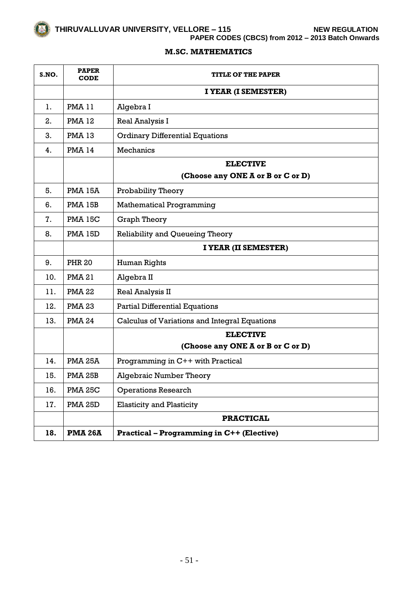**PAPER CODES (CBCS) from 2012 – 2013 Batch Onwards**

# **M.SC. MATHEMATICS**

| S.NO. | <b>PAPER</b><br><b>CODE</b> | <b>TITLE OF THE PAPER</b>                        |
|-------|-----------------------------|--------------------------------------------------|
|       |                             | I YEAR (I SEMESTER)                              |
| 1.    | <b>PMA 11</b>               | Algebra I                                        |
| 2.    | <b>PMA 12</b>               | Real Analysis I                                  |
| 3.    | <b>PMA 13</b>               | <b>Ordinary Differential Equations</b>           |
| 4.    | <b>PMA 14</b>               | <b>Mechanics</b>                                 |
|       |                             | <b>ELECTIVE</b>                                  |
|       |                             | (Choose any ONE A or B or C or D)                |
| 5.    | <b>PMA 15A</b>              | Probability Theory                               |
| 6.    | PMA 15B                     | <b>Mathematical Programming</b>                  |
| 7.    | <b>PMA 15C</b>              | <b>Graph Theory</b>                              |
| 8.    | <b>PMA 15D</b>              | Reliability and Queueing Theory                  |
|       |                             | I YEAR (II SEMESTER)                             |
| 9.    | <b>PHR 20</b>               | Human Rights                                     |
| 10.   | <b>PMA 21</b>               | Algebra II                                       |
| 11.   | <b>PMA 22</b>               | Real Analysis II                                 |
| 12.   | <b>PMA 23</b>               | <b>Partial Differential Equations</b>            |
| 13.   | <b>PMA 24</b>               | Calculus of Variations and Integral Equations    |
|       |                             | <b>ELECTIVE</b>                                  |
|       |                             | (Choose any ONE A or B or C or D)                |
| 14.   | <b>PMA 25A</b>              | Programming in C++ with Practical                |
| 15.   | <b>PMA 25B</b>              | <b>Algebraic Number Theory</b>                   |
| 16.   | <b>PMA 25C</b>              | <b>Operations Research</b>                       |
| 17.   | <b>PMA 25D</b>              | <b>Elasticity and Plasticity</b>                 |
|       |                             | <b>PRACTICAL</b>                                 |
| 18.   | <b>PMA 26A</b>              | <b>Practical - Programming in C++ (Elective)</b> |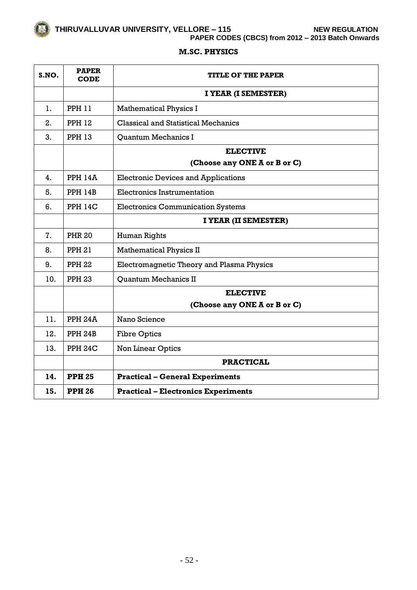**PAPER CODES (CBCS) from 2012 – 2013 Batch Onwards**

# **M.SC. PHYSICS**

| S.NO. | <b>PAPER</b><br>CODE | <b>TITLE OF THE PAPER</b>                  |
|-------|----------------------|--------------------------------------------|
|       |                      | I YEAR (I SEMESTER)                        |
| 1.    | <b>PPH 11</b>        | <b>Mathematical Physics I</b>              |
| 2.    | <b>PPH 12</b>        | <b>Classical and Statistical Mechanics</b> |
| 3.    | <b>PPH 13</b>        | <b>Ouantum Mechanics I</b>                 |
|       |                      | <b>ELECTIVE</b>                            |
|       |                      | (Choose any ONE A or B or C)               |
| 4.    | <b>PPH 14A</b>       | <b>Electronic Devices and Applications</b> |
| 5.    | <b>PPH 14B</b>       | <b>Electronics Instrumentation</b>         |
| 6.    | <b>PPH 14C</b>       | <b>Electronics Communication Systems</b>   |
|       |                      | I YEAR (II SEMESTER)                       |
| 7.    | <b>PHR 20</b>        | Human Rights                               |
| 8.    | <b>PPH 21</b>        | <b>Mathematical Physics II</b>             |
| 9.    | <b>PPH 22</b>        | Electromagnetic Theory and Plasma Physics  |
| 10.   | <b>PPH 23</b>        | <b>Ouantum Mechanics II</b>                |
|       |                      | <b>ELECTIVE</b>                            |
|       |                      | (Choose any ONE A or B or C)               |
| 11.   | <b>PPH 24A</b>       | Nano Science                               |
| 12.   | PPH 24B              | <b>Fibre Optics</b>                        |
| 13.   | PPH <sub>24C</sub>   | Non Linear Optics                          |
|       |                      | <b>PRACTICAL</b>                           |
| 14.   | <b>PPH 25</b>        | <b>Practical - General Experiments</b>     |
| 15.   | <b>PPH 26</b>        | <b>Practical - Electronics Experiments</b> |